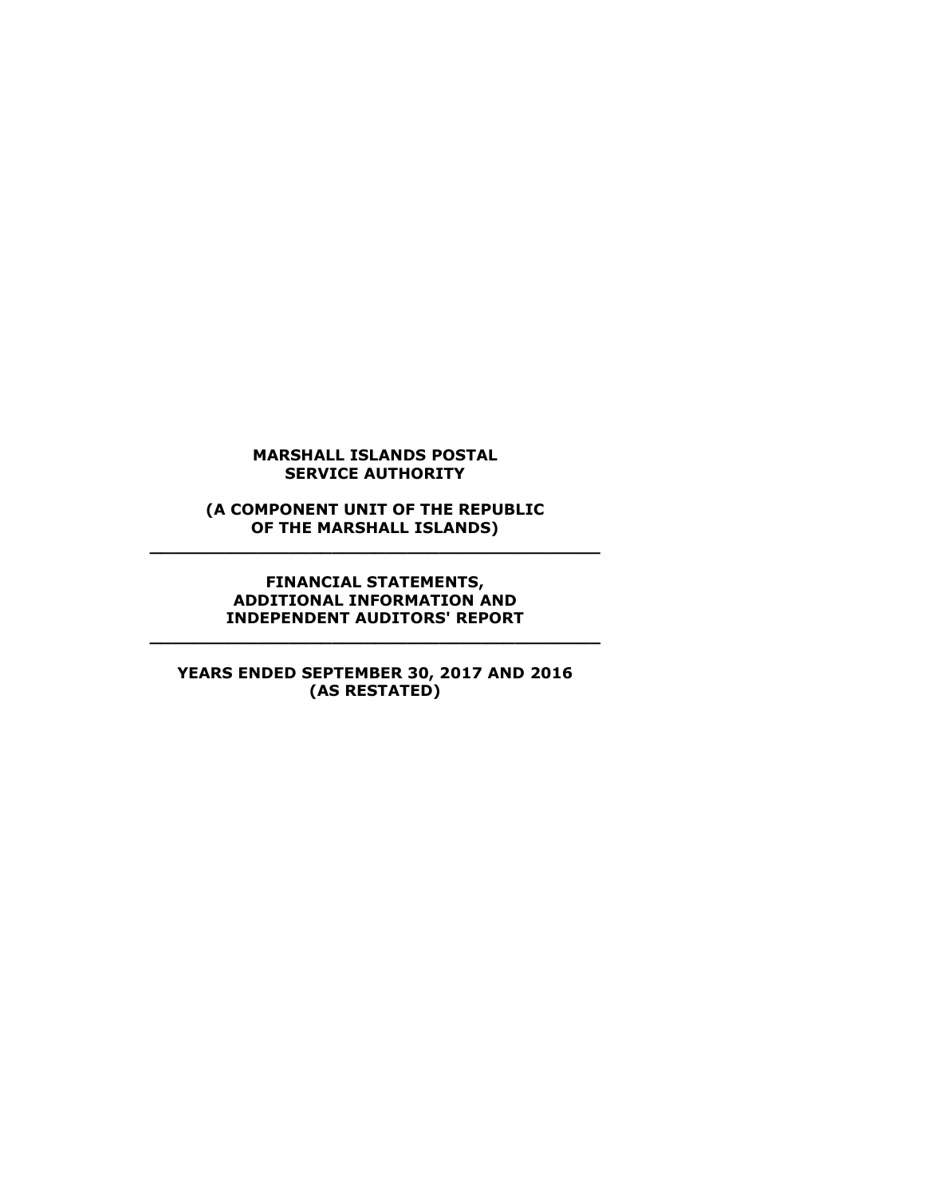**(A COMPONENT UNIT OF THE REPUBLIC OF THE MARSHALL ISLANDS) \_\_\_\_\_\_\_\_\_\_\_\_\_\_\_\_\_\_\_\_\_\_\_\_\_\_\_\_\_\_\_\_\_\_\_\_\_\_\_\_\_\_**

# **FINANCIAL STATEMENTS, ADDITIONAL INFORMATION AND INDEPENDENT AUDITORS' REPORT**

**\_\_\_\_\_\_\_\_\_\_\_\_\_\_\_\_\_\_\_\_\_\_\_\_\_\_\_\_\_\_\_\_\_\_\_\_\_\_\_\_\_\_**

**YEARS ENDED SEPTEMBER 30, 2017 AND 2016 (AS RESTATED)**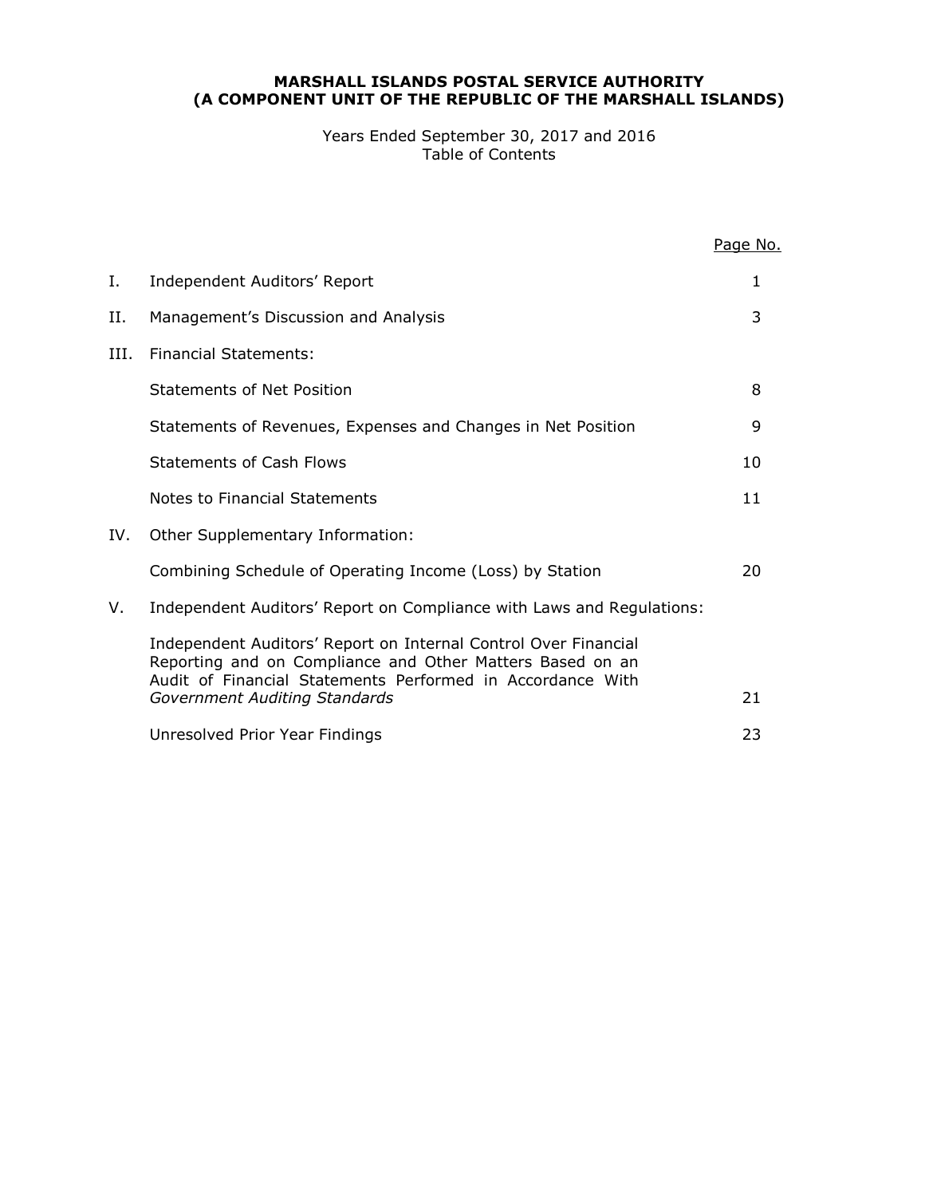# **MARSHALL ISLANDS POSTAL SERVICE AUTHORITY (A COMPONENT UNIT OF THE REPUBLIC OF THE MARSHALL ISLANDS)**

Years Ended September 30, 2017 and 2016 Table of Contents

|      |                                                                                                                                                                                            | Page No. |
|------|--------------------------------------------------------------------------------------------------------------------------------------------------------------------------------------------|----------|
| Ι.   | Independent Auditors' Report                                                                                                                                                               | 1        |
| н.   | Management's Discussion and Analysis                                                                                                                                                       | 3        |
| III. | <b>Financial Statements:</b>                                                                                                                                                               |          |
|      | <b>Statements of Net Position</b>                                                                                                                                                          | 8        |
|      | Statements of Revenues, Expenses and Changes in Net Position                                                                                                                               | 9        |
|      | <b>Statements of Cash Flows</b>                                                                                                                                                            | 10       |
|      | Notes to Financial Statements                                                                                                                                                              | 11       |
| IV.  | Other Supplementary Information:                                                                                                                                                           |          |
|      | Combining Schedule of Operating Income (Loss) by Station                                                                                                                                   | 20       |
| V.   | Independent Auditors' Report on Compliance with Laws and Regulations:                                                                                                                      |          |
|      | Independent Auditors' Report on Internal Control Over Financial<br>Reporting and on Compliance and Other Matters Based on an<br>Audit of Financial Statements Performed in Accordance With |          |
|      | <b>Government Auditing Standards</b>                                                                                                                                                       | 21       |
|      | Unresolved Prior Year Findings                                                                                                                                                             | 23       |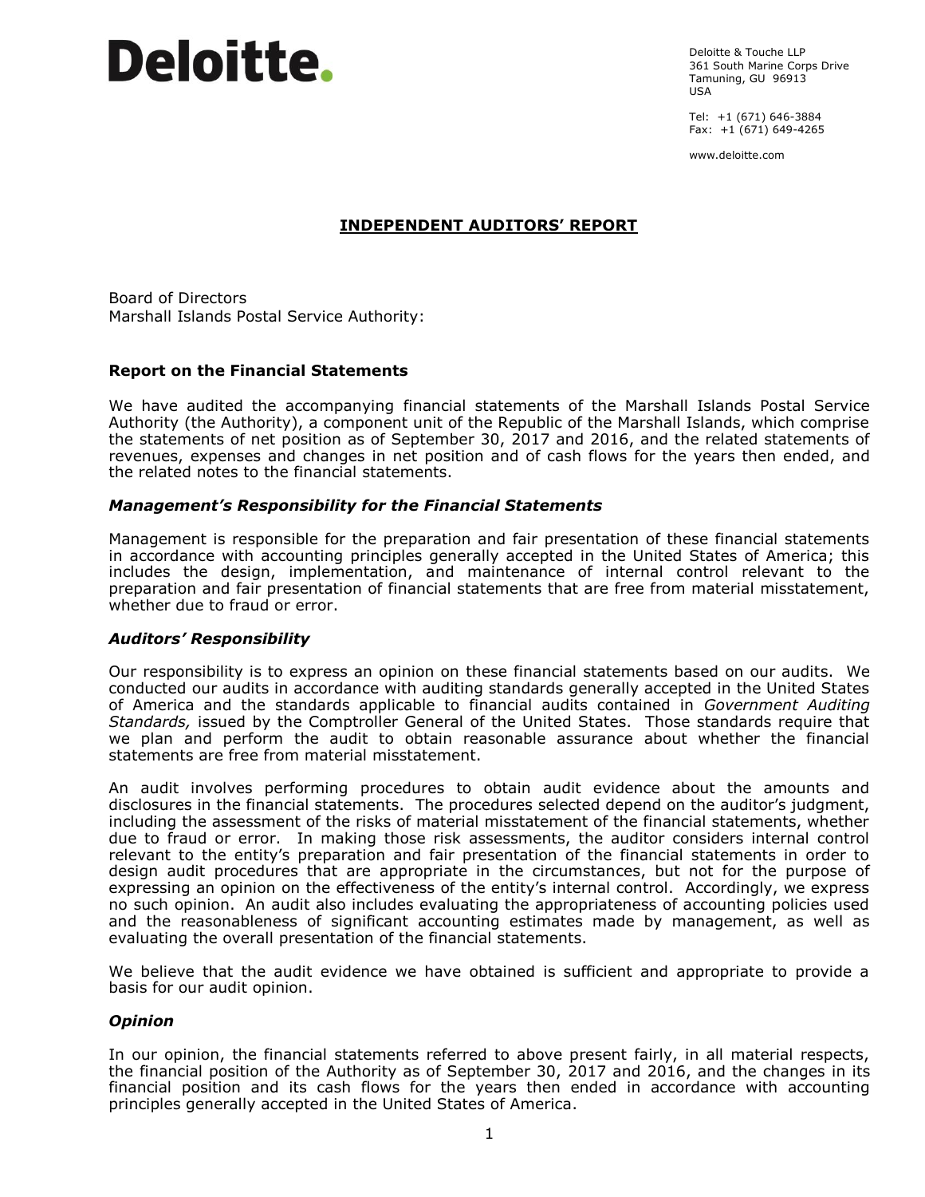# **Deloitte.**

Deloitte & Touche LLP 361 South Marine Corps Drive Tamuning, GU 96913 USA

Tel: +1 (671) 646-3884 Fax: +1 (671) 649-4265

www.deloitte.com

# **INDEPENDENT AUDITORS' REPORT**

Board of Directors Marshall Islands Postal Service Authority:

# **Report on the Financial Statements**

We have audited the accompanying financial statements of the Marshall Islands Postal Service Authority (the Authority), a component unit of the Republic of the Marshall Islands, which comprise the statements of net position as of September 30, 2017 and 2016, and the related statements of revenues, expenses and changes in net position and of cash flows for the years then ended, and the related notes to the financial statements.

# *Management's Responsibility for the Financial Statements*

Management is responsible for the preparation and fair presentation of these financial statements in accordance with accounting principles generally accepted in the United States of America; this includes the design, implementation, and maintenance of internal control relevant to the preparation and fair presentation of financial statements that are free from material misstatement, whether due to fraud or error.

# *Auditors' Responsibility*

Our responsibility is to express an opinion on these financial statements based on our audits. We conducted our audits in accordance with auditing standards generally accepted in the United States of America and the standards applicable to financial audits contained in *Government Auditing Standards,* issued by the Comptroller General of the United States. Those standards require that we plan and perform the audit to obtain reasonable assurance about whether the financial statements are free from material misstatement.

An audit involves performing procedures to obtain audit evidence about the amounts and disclosures in the financial statements. The procedures selected depend on the auditor's judgment, including the assessment of the risks of material misstatement of the financial statements, whether due to fraud or error. In making those risk assessments, the auditor considers internal control relevant to the entity's preparation and fair presentation of the financial statements in order to design audit procedures that are appropriate in the circumstances, but not for the purpose of expressing an opinion on the effectiveness of the entity's internal control. Accordingly, we express no such opinion. An audit also includes evaluating the appropriateness of accounting policies used and the reasonableness of significant accounting estimates made by management, as well as evaluating the overall presentation of the financial statements.

We believe that the audit evidence we have obtained is sufficient and appropriate to provide a basis for our audit opinion.

# *Opinion*

In our opinion, the financial statements referred to above present fairly, in all material respects, the financial position of the Authority as of September 30, 2017 and 2016, and the changes in its financial position and its cash flows for the years then ended in accordance with accounting principles generally accepted in the United States of America.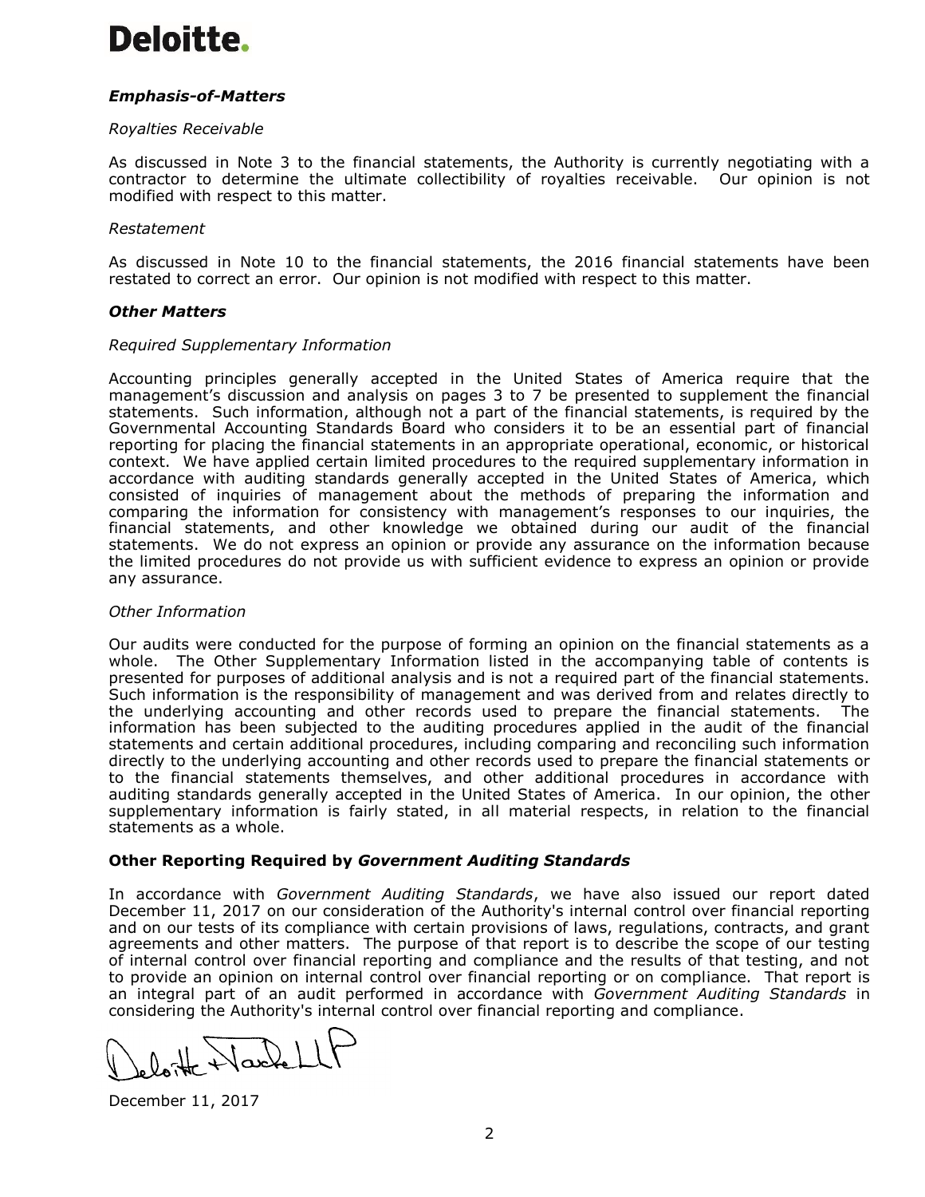# Deloitte.

# *Emphasis-of-Matters*

# *Royalties Receivable*

As discussed in Note 3 to the financial statements, the Authority is currently negotiating with a contractor to determine the ultimate collectibility of royalties receivable. Our opinion is not modified with respect to this matter.

# *Restatement*

As discussed in Note 10 to the financial statements, the 2016 financial statements have been restated to correct an error. Our opinion is not modified with respect to this matter.

# *Other Matters*

# *Required Supplementary Information*

Accounting principles generally accepted in the United States of America require that the management's discussion and analysis on pages 3 to 7 be presented to supplement the financial statements. Such information, although not a part of the financial statements, is required by the Governmental Accounting Standards Board who considers it to be an essential part of financial reporting for placing the financial statements in an appropriate operational, economic, or historical context. We have applied certain limited procedures to the required supplementary information in accordance with auditing standards generally accepted in the United States of America, which consisted of inquiries of management about the methods of preparing the information and comparing the information for consistency with management's responses to our inquiries, the financial statements, and other knowledge we obtained during our audit of the financial statements. We do not express an opinion or provide any assurance on the information because the limited procedures do not provide us with sufficient evidence to express an opinion or provide any assurance.

# *Other Information*

Our audits were conducted for the purpose of forming an opinion on the financial statements as a whole. The Other Supplementary Information listed in the accompanying table of contents is presented for purposes of additional analysis and is not a required part of the financial statements. Such information is the responsibility of management and was derived from and relates directly to the underlying accounting and other records used to prepare the financial statements. The information has been subjected to the auditing procedures applied in the audit of the financial statements and certain additional procedures, including comparing and reconciling such information directly to the underlying accounting and other records used to prepare the financial statements or to the financial statements themselves, and other additional procedures in accordance with auditing standards generally accepted in the United States of America. In our opinion, the other supplementary information is fairly stated, in all material respects, in relation to the financial statements as a whole.

# **Other Reporting Required by** *Government Auditing Standards*

In accordance with *Government Auditing Standards*, we have also issued our report dated December 11, 2017 on our consideration of the Authority's internal control over financial reporting and on our tests of its compliance with certain provisions of laws, regulations, contracts, and grant agreements and other matters. The purpose of that report is to describe the scope of our testing of internal control over financial reporting and compliance and the results of that testing, and not to provide an opinion on internal control over financial reporting or on compliance. That report is an integral part of an audit performed in accordance with *Government Auditing Standards* in considering the Authority's internal control over financial reporting and compliance.

December 11, 2017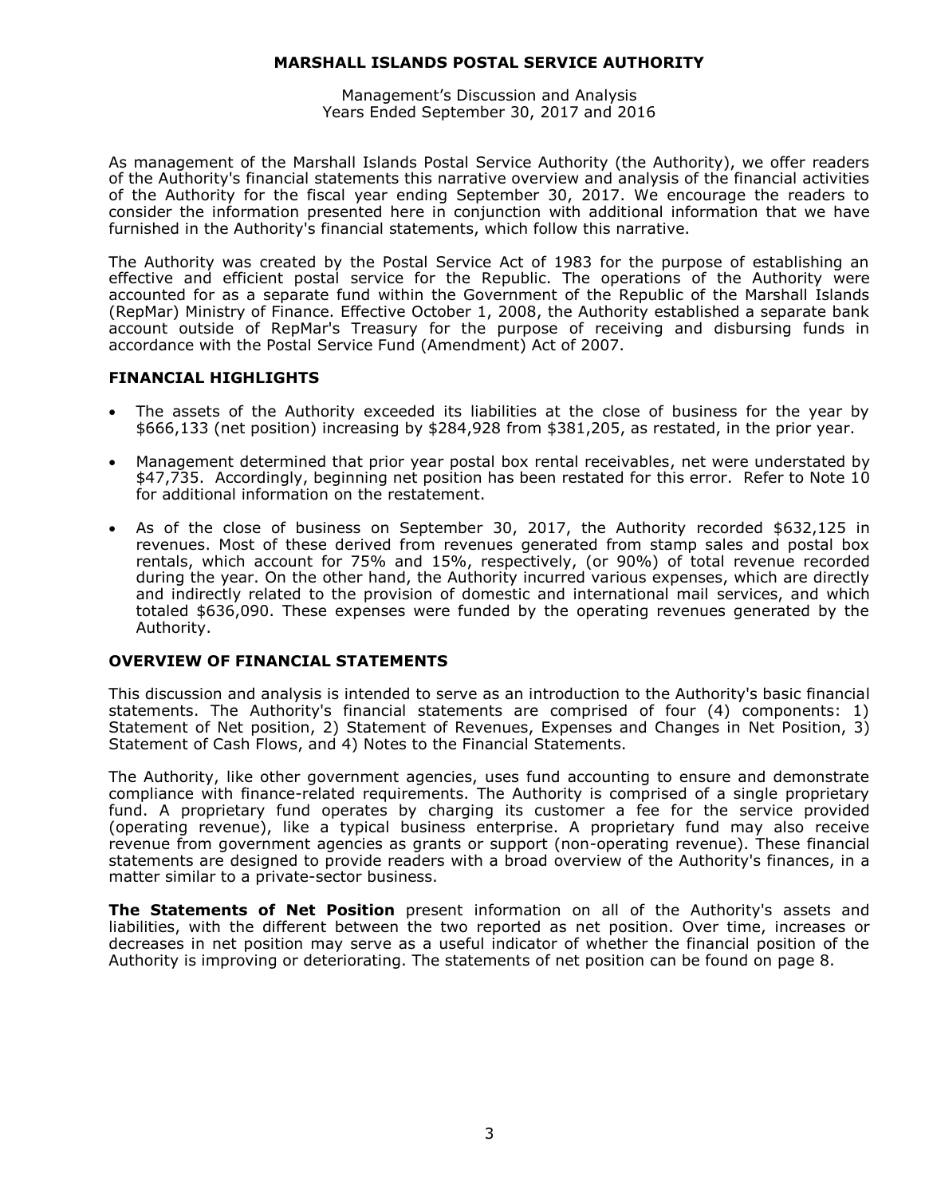Management's Discussion and Analysis Years Ended September 30, 2017 and 2016

As management of the Marshall Islands Postal Service Authority (the Authority), we offer readers of the Authority's financial statements this narrative overview and analysis of the financial activities of the Authority for the fiscal year ending September 30, 2017. We encourage the readers to consider the information presented here in conjunction with additional information that we have furnished in the Authority's financial statements, which follow this narrative.

The Authority was created by the Postal Service Act of 1983 for the purpose of establishing an effective and efficient postal service for the Republic. The operations of the Authority were accounted for as a separate fund within the Government of the Republic of the Marshall Islands (RepMar) Ministry of Finance. Effective October 1, 2008, the Authority established a separate bank account outside of RepMar's Treasury for the purpose of receiving and disbursing funds in accordance with the Postal Service Fund (Amendment) Act of 2007.

# **FINANCIAL HIGHLIGHTS**

- The assets of the Authority exceeded its liabilities at the close of business for the year by \$666,133 (net position) increasing by \$284,928 from \$381,205, as restated, in the prior year.
- Management determined that prior year postal box rental receivables, net were understated by \$47,735. Accordingly, beginning net position has been restated for this error. Refer to Note 10 for additional information on the restatement.
- As of the close of business on September 30, 2017, the Authority recorded \$632,125 in revenues. Most of these derived from revenues generated from stamp sales and postal box rentals, which account for 75% and 15%, respectively, (or 90%) of total revenue recorded during the year. On the other hand, the Authority incurred various expenses, which are directly and indirectly related to the provision of domestic and international mail services, and which totaled \$636,090. These expenses were funded by the operating revenues generated by the Authority.

# **OVERVIEW OF FINANCIAL STATEMENTS**

This discussion and analysis is intended to serve as an introduction to the Authority's basic financial statements. The Authority's financial statements are comprised of four (4) components: 1) Statement of Net position, 2) Statement of Revenues, Expenses and Changes in Net Position, 3) Statement of Cash Flows, and 4) Notes to the Financial Statements.

The Authority, like other government agencies, uses fund accounting to ensure and demonstrate compliance with finance-related requirements. The Authority is comprised of a single proprietary fund. A proprietary fund operates by charging its customer a fee for the service provided (operating revenue), like a typical business enterprise. A proprietary fund may also receive revenue from government agencies as grants or support (non-operating revenue). These financial statements are designed to provide readers with a broad overview of the Authority's finances, in a matter similar to a private-sector business.

**The Statements of Net Position** present information on all of the Authority's assets and liabilities, with the different between the two reported as net position. Over time, increases or decreases in net position may serve as a useful indicator of whether the financial position of the Authority is improving or deteriorating. The statements of net position can be found on page 8.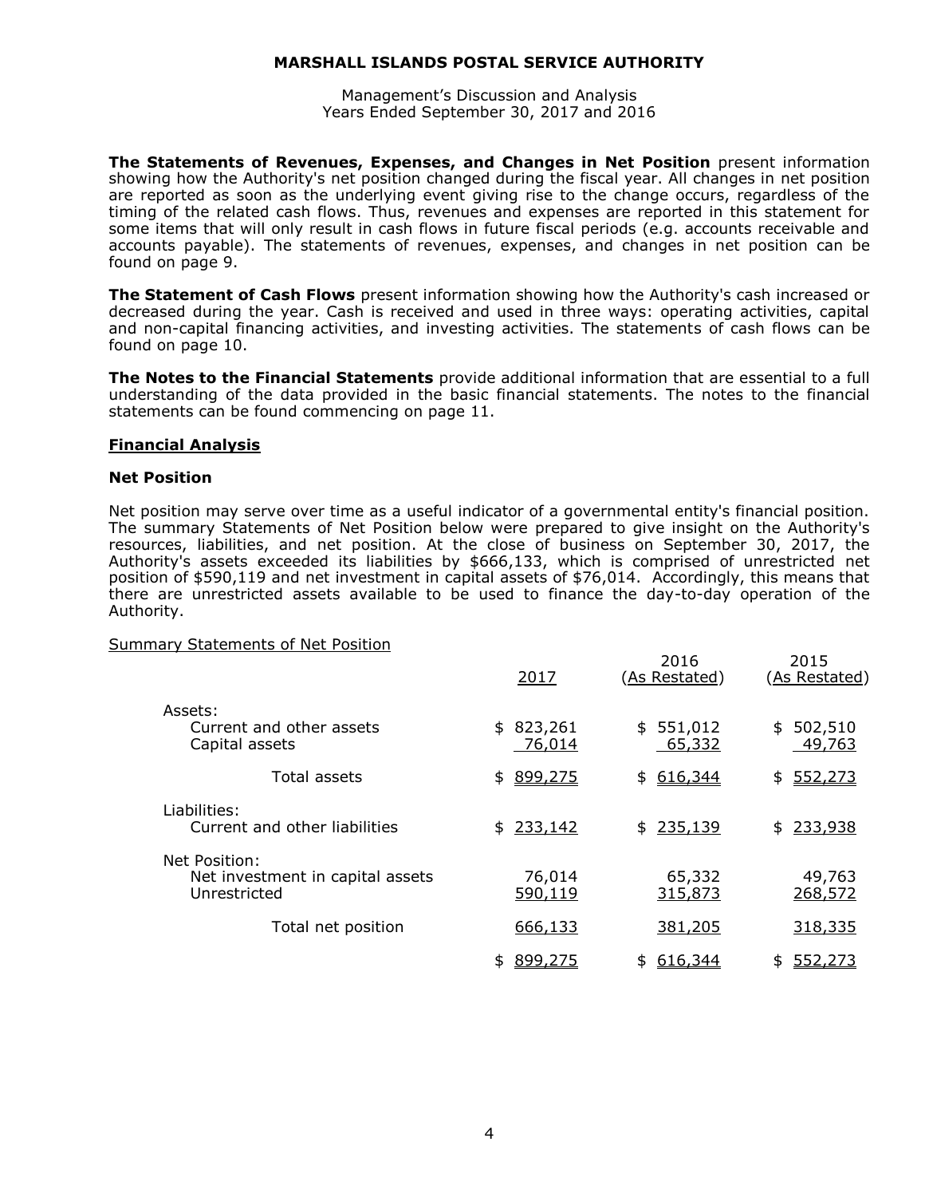Management's Discussion and Analysis Years Ended September 30, 2017 and 2016

**The Statements of Revenues, Expenses, and Changes in Net Position** present information showing how the Authority's net position changed during the fiscal year. All changes in net position are reported as soon as the underlying event giving rise to the change occurs, regardless of the timing of the related cash flows. Thus, revenues and expenses are reported in this statement for some items that will only result in cash flows in future fiscal periods (e.g. accounts receivable and accounts payable). The statements of revenues, expenses, and changes in net position can be found on page 9.

**The Statement of Cash Flows** present information showing how the Authority's cash increased or decreased during the year. Cash is received and used in three ways: operating activities, capital and non-capital financing activities, and investing activities. The statements of cash flows can be found on page 10.

**The Notes to the Financial Statements** provide additional information that are essential to a full understanding of the data provided in the basic financial statements. The notes to the financial statements can be found commencing on page 11.

# **Financial Analysis**

# **Net Position**

Net position may serve over time as a useful indicator of a governmental entity's financial position. The summary Statements of Net Position below were prepared to give insight on the Authority's resources, liabilities, and net position. At the close of business on September 30, 2017, the Authority's assets exceeded its liabilities by \$666,133, which is comprised of unrestricted net position of \$590,119 and net investment in capital assets of \$76,014. Accordingly, this means that there are unrestricted assets available to be used to finance the day-to-day operation of the Authority.

# Summary Statements of Net Position

|                                                                   | 2017                 | 2016<br>(As Restated) | 2015<br>(As Restated) |
|-------------------------------------------------------------------|----------------------|-----------------------|-----------------------|
| Assets:<br>Current and other assets<br>Capital assets             | \$823,261<br>76,014  | \$551,012<br>65,332   | \$502,510<br>49,763   |
| Total assets                                                      | <u>899,275</u><br>\$ | \$616,344             | \$552,273             |
| Liabilities:<br>Current and other liabilities                     | \$233,142            | 235,139<br>\$         | 233,938<br>\$         |
| Net Position:<br>Net investment in capital assets<br>Unrestricted | 76,014<br>590,119    | 65,332<br>315,873     | 49,763<br>268,572     |
| Total net position                                                | 666,133              | 381,205               | 318,335               |
|                                                                   | 899,275              | 616,344<br>\$         | 552,273<br>\$         |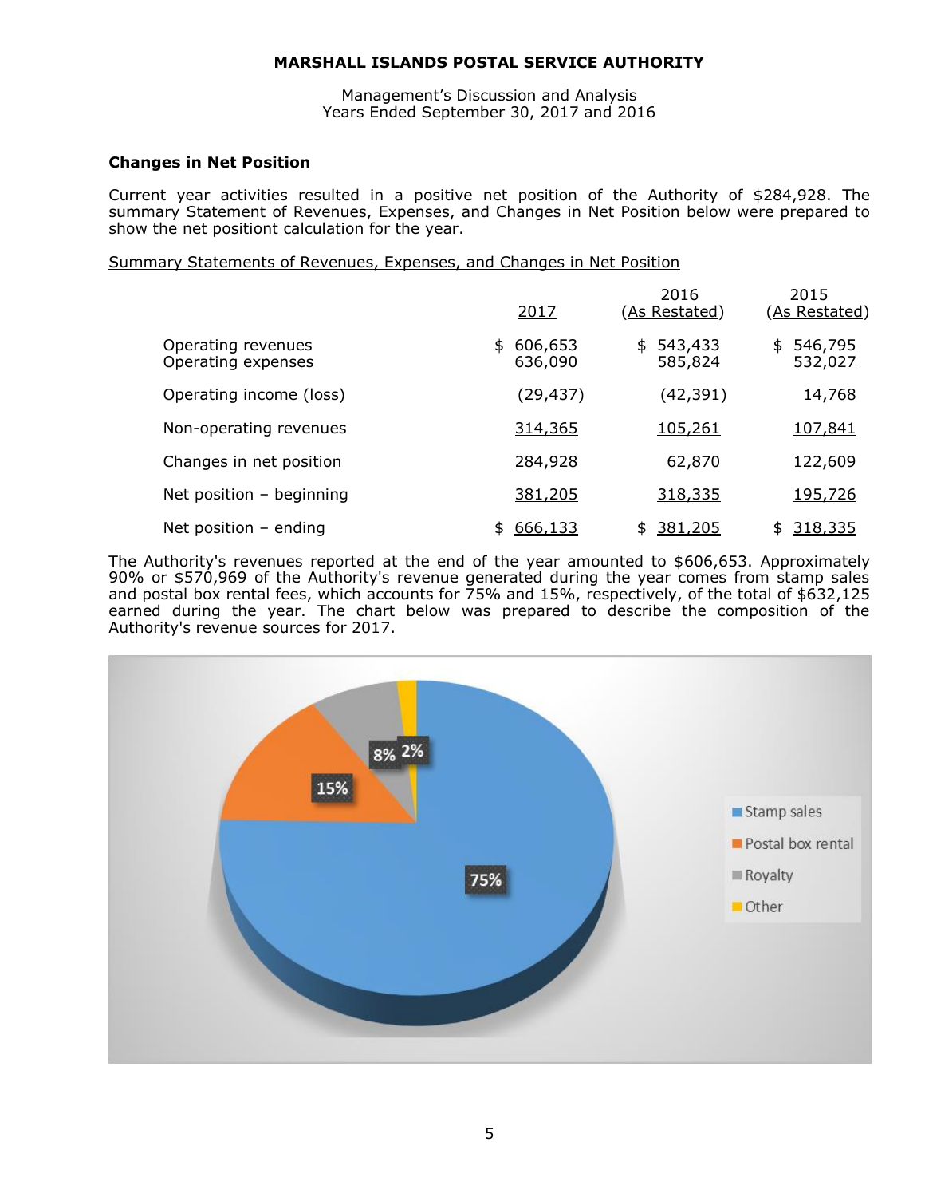Management's Discussion and Analysis Years Ended September 30, 2017 and 2016

# **Changes in Net Position**

Current year activities resulted in a positive net position of the Authority of \$284,928. The summary Statement of Revenues, Expenses, and Changes in Net Position below were prepared to show the net positiont calculation for the year.

Summary Statements of Revenues, Expenses, and Changes in Net Position

|                                          | 2017                     | (As Restated) | 2016               | 2015<br><u>(As Restated)</u> |
|------------------------------------------|--------------------------|---------------|--------------------|------------------------------|
| Operating revenues<br>Operating expenses | \$<br>606,653<br>636,090 | \$            | 543,433<br>585,824 | \$<br>546,795<br>532,027     |
| Operating income (loss)                  | (29,437)                 |               | (42, 391)          | 14,768                       |
| Non-operating revenues                   | 314,365                  |               | 105,261            | <u>107,841</u>               |
| Changes in net position                  | 284,928                  |               | 62,870             | 122,609                      |
| Net position $-$ beginning               | 381,205                  |               | 318,335            | <u>195,726</u>               |
| Net position $-$ ending                  | \$<br>666,133            | \$            | 381,205            | \$<br>318,335                |

The Authority's revenues reported at the end of the year amounted to \$606,653. Approximately 90% or \$570,969 of the Authority's revenue generated during the year comes from stamp sales and postal box rental fees, which accounts for 75% and 15%, respectively, of the total of \$632,125 earned during the year. The chart below was prepared to describe the composition of the Authority's revenue sources for 2017.

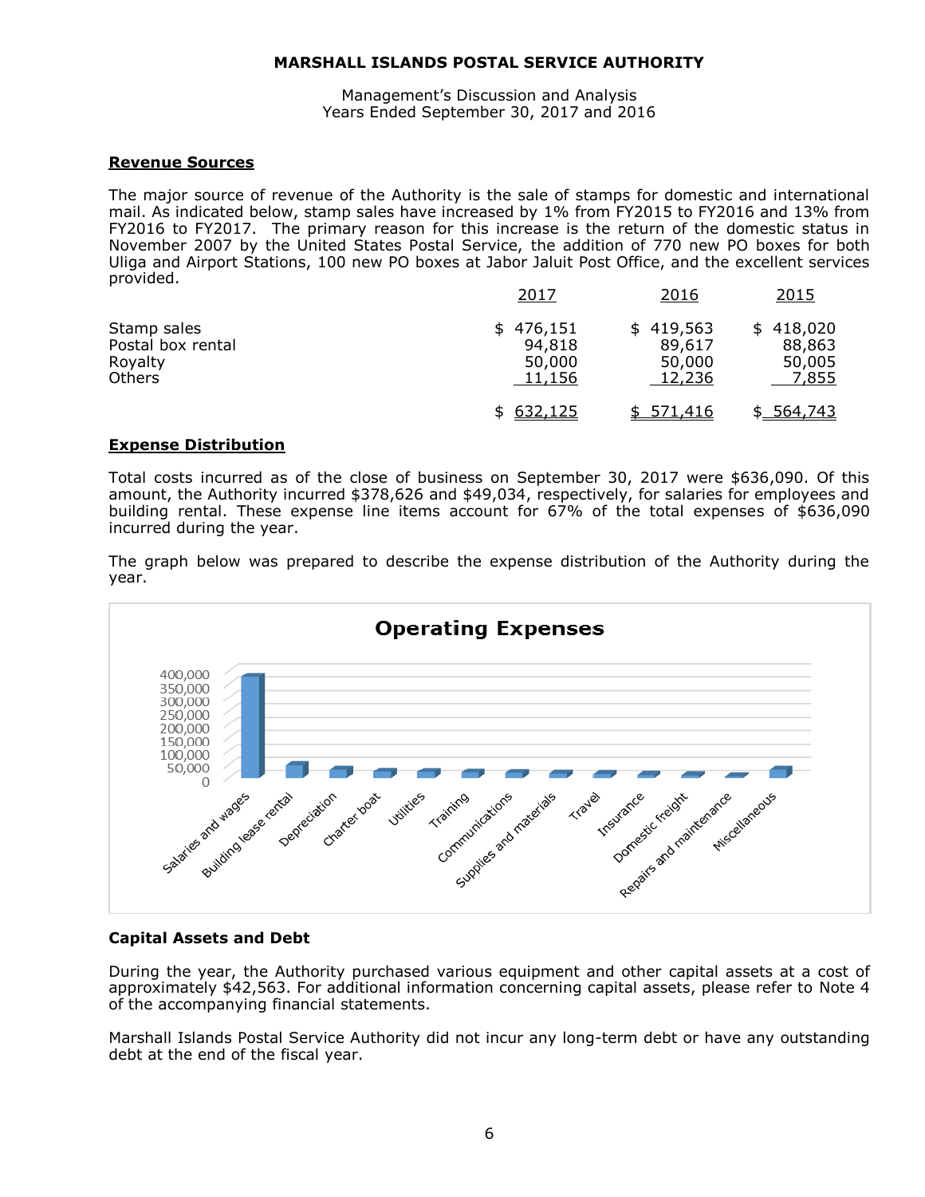Management's Discussion and Analysis Years Ended September 30, 2017 and 2016

# **Revenue Sources**

The major source of revenue of the Authority is the sale of stamps for domestic and international mail. As indicated below, stamp sales have increased by 1% from FY2015 to FY2016 and 13% from FY2016 to FY2017. The primary reason for this increase is the return of the domestic status in November 2007 by the United States Postal Service, the addition of 770 new PO boxes for both Uliga and Airport Stations, 100 new PO boxes at Jabor Jaluit Post Office, and the excellent services provided.

|                                                       | 2017                                    | <u> 2016</u>                            | 2015                                          |
|-------------------------------------------------------|-----------------------------------------|-----------------------------------------|-----------------------------------------------|
| Stamp sales<br>Postal box rental<br>Royalty<br>Others | \$476,151<br>94,818<br>50,000<br>11,156 | \$419,563<br>89,617<br>50,000<br>12,236 | \$418,020<br>88,863<br>50,005<br><u>7,855</u> |
|                                                       | \$632,125                               | \$571,416                               | \$ 564,743                                    |

# **Expense Distribution**

Total costs incurred as of the close of business on September 30, 2017 were \$636,090. Of this amount, the Authority incurred \$378,626 and \$49,034, respectively, for salaries for employees and building rental. These expense line items account for 67% of the total expenses of \$636,090 incurred during the year.

The graph below was prepared to describe the expense distribution of the Authority during the year.



# **Capital Assets and Debt**

During the year, the Authority purchased various equipment and other capital assets at a cost of approximately \$42,563. For additional information concerning capital assets, please refer to Note 4 of the accompanying financial statements.

Marshall Islands Postal Service Authority did not incur any long-term debt or have any outstanding debt at the end of the fiscal year.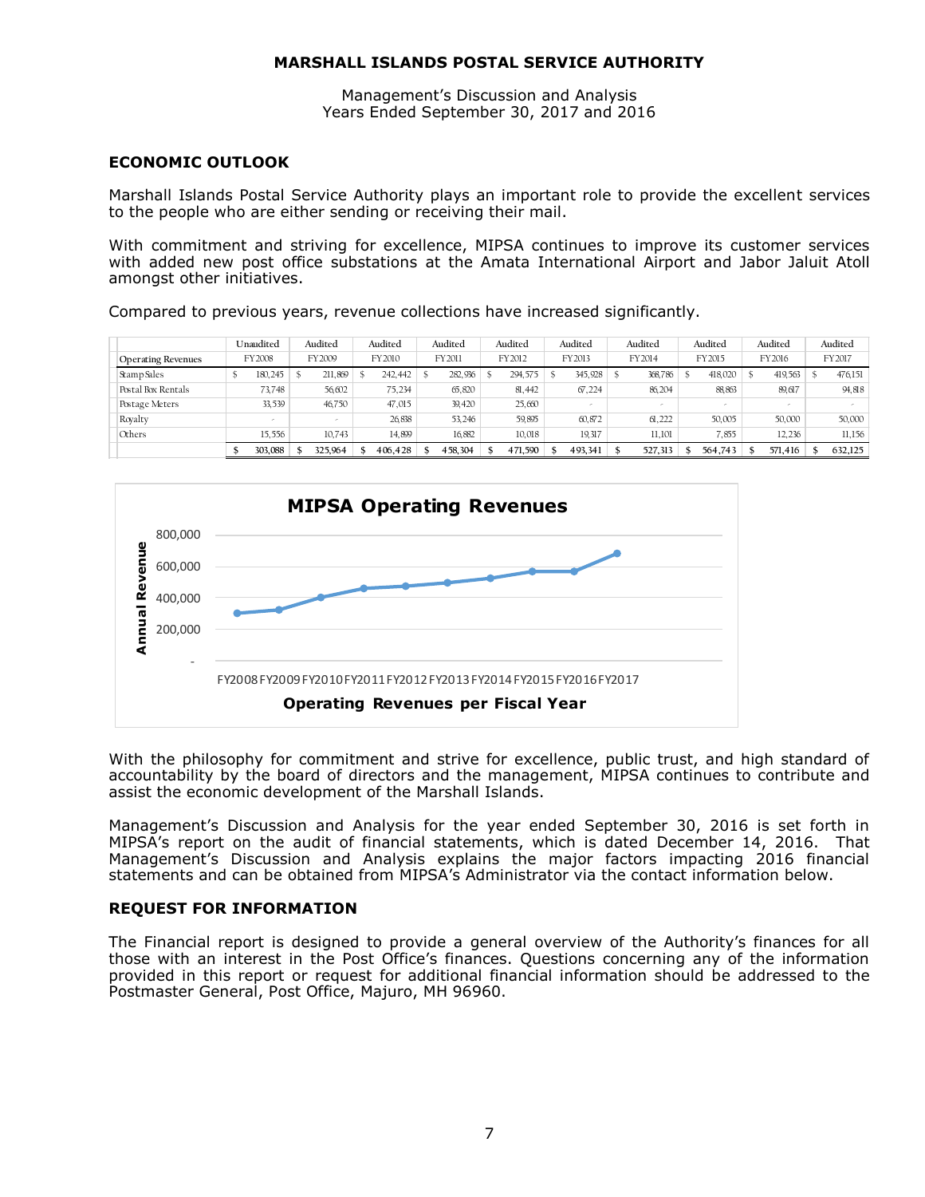Management's Discussion and Analysis Years Ended September 30, 2017 and 2016

# **ECONOMIC OUTLOOK**

Marshall Islands Postal Service Authority plays an important role to provide the excellent services to the people who are either sending or receiving their mail.

With commitment and striving for excellence, MIPSA continues to improve its customer services with added new post office substations at the Amata International Airport and Jabor Jaluit Atoll amongst other initiatives.

Compared to previous years, revenue collections have increased significantly.

|                           |        | Unaudited |        | Audited |  | Audited |  | Audited |  | Audited |  | Audited |  | Audited |  | Audited |  | Audited |  | Audited |
|---------------------------|--------|-----------|--------|---------|--|---------|--|---------|--|---------|--|---------|--|---------|--|---------|--|---------|--|---------|
| <b>Operating Revenues</b> | FY2008 |           | FY2009 | FY2010  |  | FY2011  |  | FY2012  |  | FY2013  |  | FY2014  |  | FY2015  |  | FY2016  |  | FY2017  |  |         |
| StampSales                |        | 180,245   |        | 211.869 |  | 242.442 |  | 282.936 |  | 294,575 |  | 345,928 |  | 368.786 |  | 418,020 |  | 419.563 |  | 476151  |
| Postal Box Rentals        |        | 73,748    |        | 56,602  |  | 75,234  |  | 65,820  |  | 81,442  |  | 67,224  |  | 86,204  |  | 88,863  |  | 89,617  |  | 94,818  |
| Postage Meters            |        | 33,539    |        | 46.750  |  | 47,015  |  | 39.420  |  | 25,660  |  |         |  | $\sim$  |  |         |  |         |  |         |
| Royalty                   |        | -         |        | $\sim$  |  | 26.838  |  | 53.246  |  | 59.895  |  | 60,872  |  | 61.222  |  | 50.005  |  | 50,000  |  | 50,000  |
| Others                    |        | 15.556    |        | 10.743  |  | 14.899  |  | 16,882  |  | 10.018  |  | 19,317  |  | 11.101  |  | 7,855   |  | 12,236  |  | 11,156  |
|                           |        | 303,088   |        | 325,964 |  | 406,428 |  | 458,304 |  | 471,590 |  | 493,341 |  | 527,313 |  | 564.743 |  | 571,416 |  | 632,125 |



With the philosophy for commitment and strive for excellence, public trust, and high standard of accountability by the board of directors and the management, MIPSA continues to contribute and assist the economic development of the Marshall Islands.

Management's Discussion and Analysis for the year ended September 30, 2016 is set forth in MIPSA's report on the audit of financial statements, which is dated December 14, 2016. That Management's Discussion and Analysis explains the major factors impacting 2016 financial statements and can be obtained from MIPSA's Administrator via the contact information below.

# **REQUEST FOR INFORMATION**

The Financial report is designed to provide a general overview of the Authority's finances for all those with an interest in the Post Office's finances. Questions concerning any of the information provided in this report or request for additional financial information should be addressed to the Postmaster General, Post Office, Majuro, MH 96960.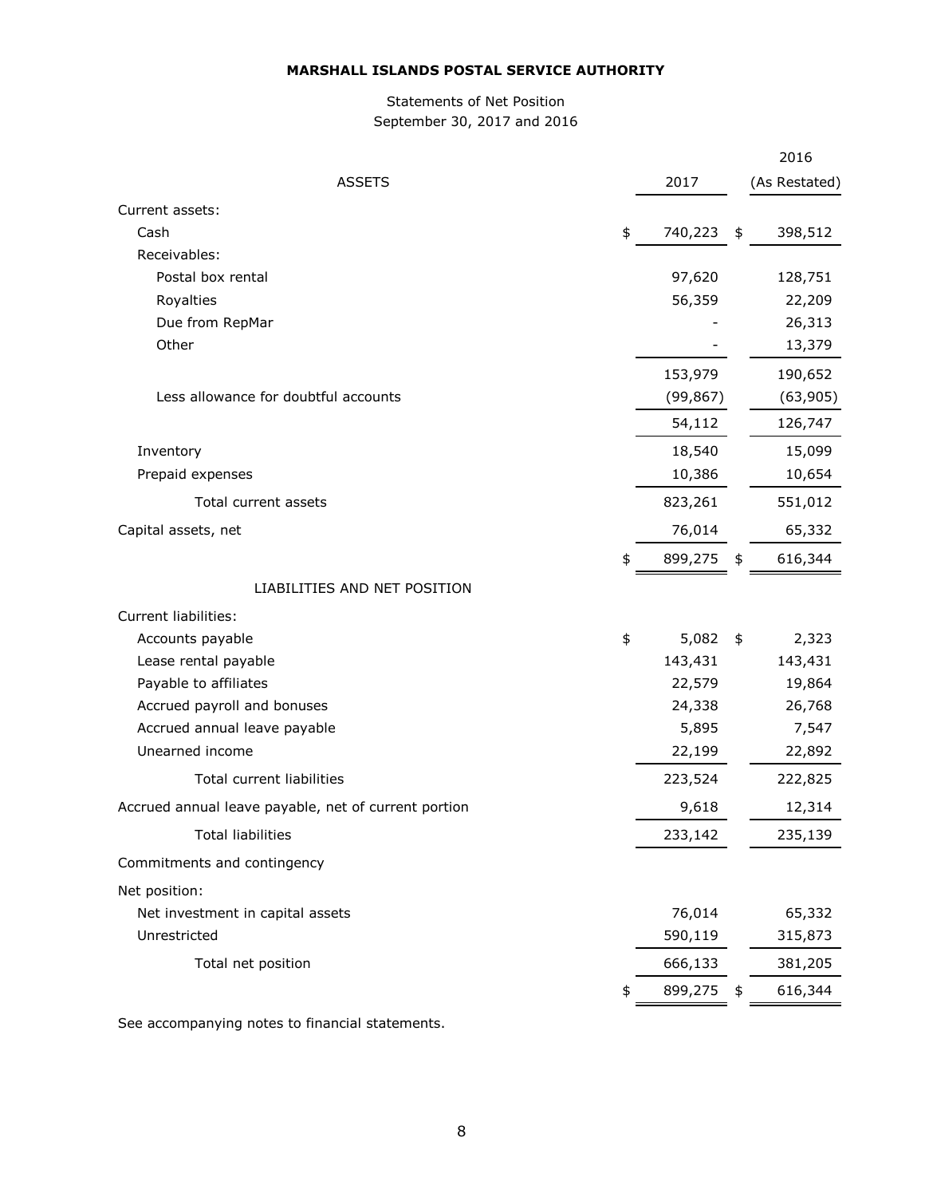# Statements of Net Position September 30, 2017 and 2016

|                                                      |           |               | 2016          |
|------------------------------------------------------|-----------|---------------|---------------|
| <b>ASSETS</b>                                        | 2017      |               | (As Restated) |
| Current assets:                                      |           |               |               |
| Cash<br>\$                                           | 740,223   | \$            | 398,512       |
| Receivables:                                         |           |               |               |
| Postal box rental                                    | 97,620    |               | 128,751       |
| Royalties                                            | 56,359    |               | 22,209        |
| Due from RepMar                                      |           |               | 26,313        |
| Other                                                |           |               | 13,379        |
|                                                      | 153,979   |               | 190,652       |
| Less allowance for doubtful accounts                 | (99, 867) |               | (63,905)      |
|                                                      | 54,112    |               | 126,747       |
| Inventory                                            | 18,540    |               | 15,099        |
| Prepaid expenses                                     | 10,386    |               | 10,654        |
| Total current assets                                 | 823,261   |               | 551,012       |
| Capital assets, net                                  | 76,014    |               | 65,332        |
| \$                                                   | 899,275   | \$            | 616,344       |
| LIABILITIES AND NET POSITION                         |           |               |               |
| <b>Current liabilities:</b>                          |           |               |               |
| Accounts payable<br>\$                               | 5,082     | - \$          | 2,323         |
| Lease rental payable                                 | 143,431   |               | 143,431       |
| Payable to affiliates                                | 22,579    |               | 19,864        |
| Accrued payroll and bonuses                          | 24,338    |               | 26,768        |
| Accrued annual leave payable                         | 5,895     |               | 7,547         |
| Unearned income                                      | 22,199    |               | 22,892        |
| Total current liabilities                            | 223,524   |               | 222,825       |
| Accrued annual leave payable, net of current portion | 9,618     |               | 12,314        |
| <b>Total liabilities</b>                             | 233,142   |               | 235,139       |
| Commitments and contingency                          |           |               |               |
| Net position:                                        |           |               |               |
| Net investment in capital assets                     | 76,014    |               | 65,332        |
| Unrestricted                                         | 590,119   |               | 315,873       |
| Total net position                                   | 666,133   |               | 381,205       |
| \$                                                   | 899,275   | $\frac{1}{2}$ | 616,344       |

See accompanying notes to financial statements.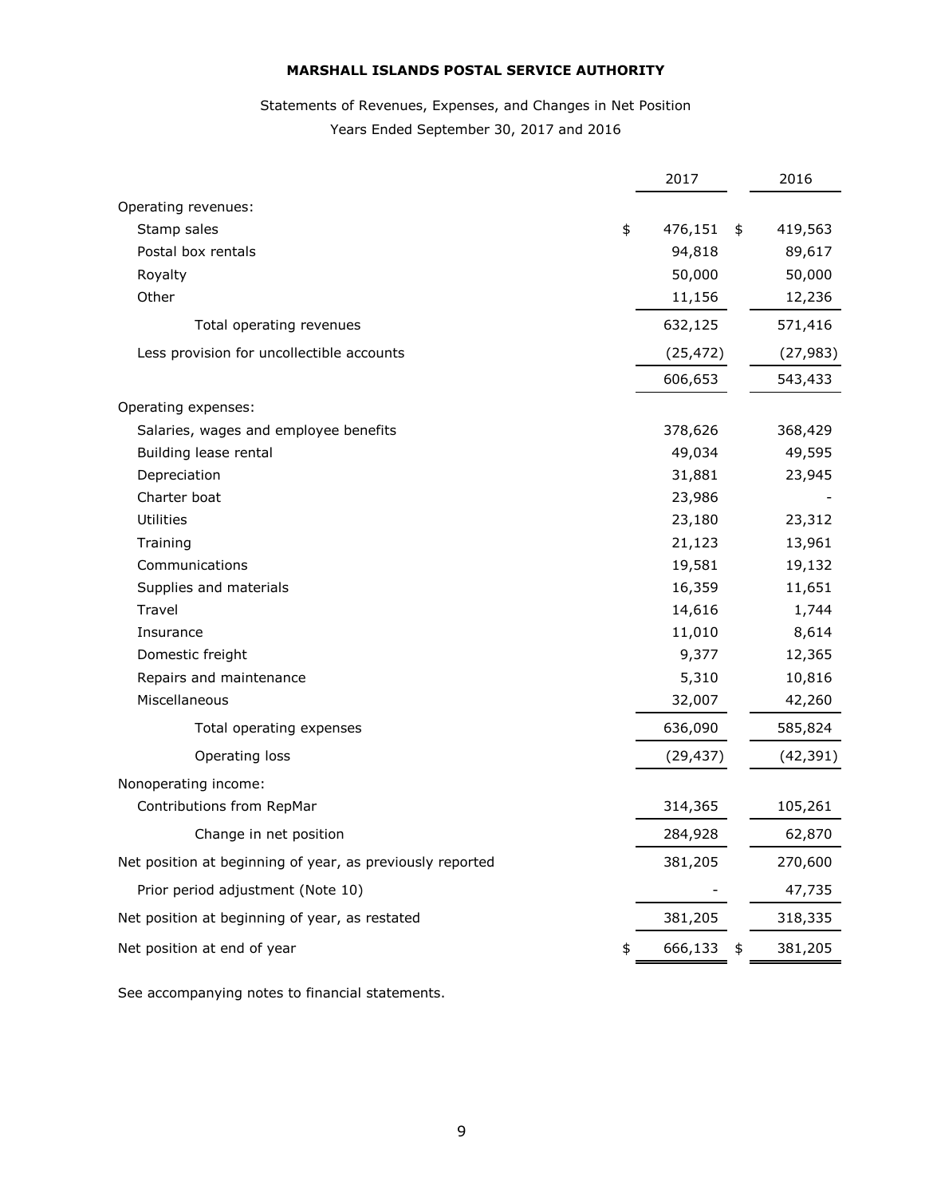# Statements of Revenues, Expenses, and Changes in Net Position Years Ended September 30, 2017 and 2016

|                                                           | 2017          | 2016          |
|-----------------------------------------------------------|---------------|---------------|
| Operating revenues:                                       |               |               |
| Stamp sales                                               | \$<br>476,151 | \$<br>419,563 |
| Postal box rentals                                        | 94,818        | 89,617        |
| Royalty                                                   | 50,000        | 50,000        |
| Other                                                     | 11,156        | 12,236        |
| Total operating revenues                                  | 632,125       | 571,416       |
| Less provision for uncollectible accounts                 | (25, 472)     | (27, 983)     |
|                                                           | 606,653       | 543,433       |
| Operating expenses:                                       |               |               |
| Salaries, wages and employee benefits                     | 378,626       | 368,429       |
| Building lease rental                                     | 49,034        | 49,595        |
| Depreciation                                              | 31,881        | 23,945        |
| Charter boat                                              | 23,986        |               |
| Utilities                                                 | 23,180        | 23,312        |
| Training                                                  | 21,123        | 13,961        |
| Communications                                            | 19,581        | 19,132        |
| Supplies and materials                                    | 16,359        | 11,651        |
| Travel                                                    | 14,616        | 1,744         |
| Insurance                                                 | 11,010        | 8,614         |
| Domestic freight                                          | 9,377         | 12,365        |
| Repairs and maintenance                                   | 5,310         | 10,816        |
| Miscellaneous                                             | 32,007        | 42,260        |
| Total operating expenses                                  | 636,090       | 585,824       |
| Operating loss                                            | (29, 437)     | (42, 391)     |
| Nonoperating income:                                      |               |               |
| Contributions from RepMar                                 | 314,365       | 105,261       |
| Change in net position                                    | 284,928       | 62,870        |
| Net position at beginning of year, as previously reported | 381,205       | 270,600       |
| Prior period adjustment (Note 10)                         |               | 47,735        |
| Net position at beginning of year, as restated            | 381,205       | 318,335       |
| Net position at end of year                               | \$<br>666,133 | \$<br>381,205 |
|                                                           |               |               |

See accompanying notes to financial statements.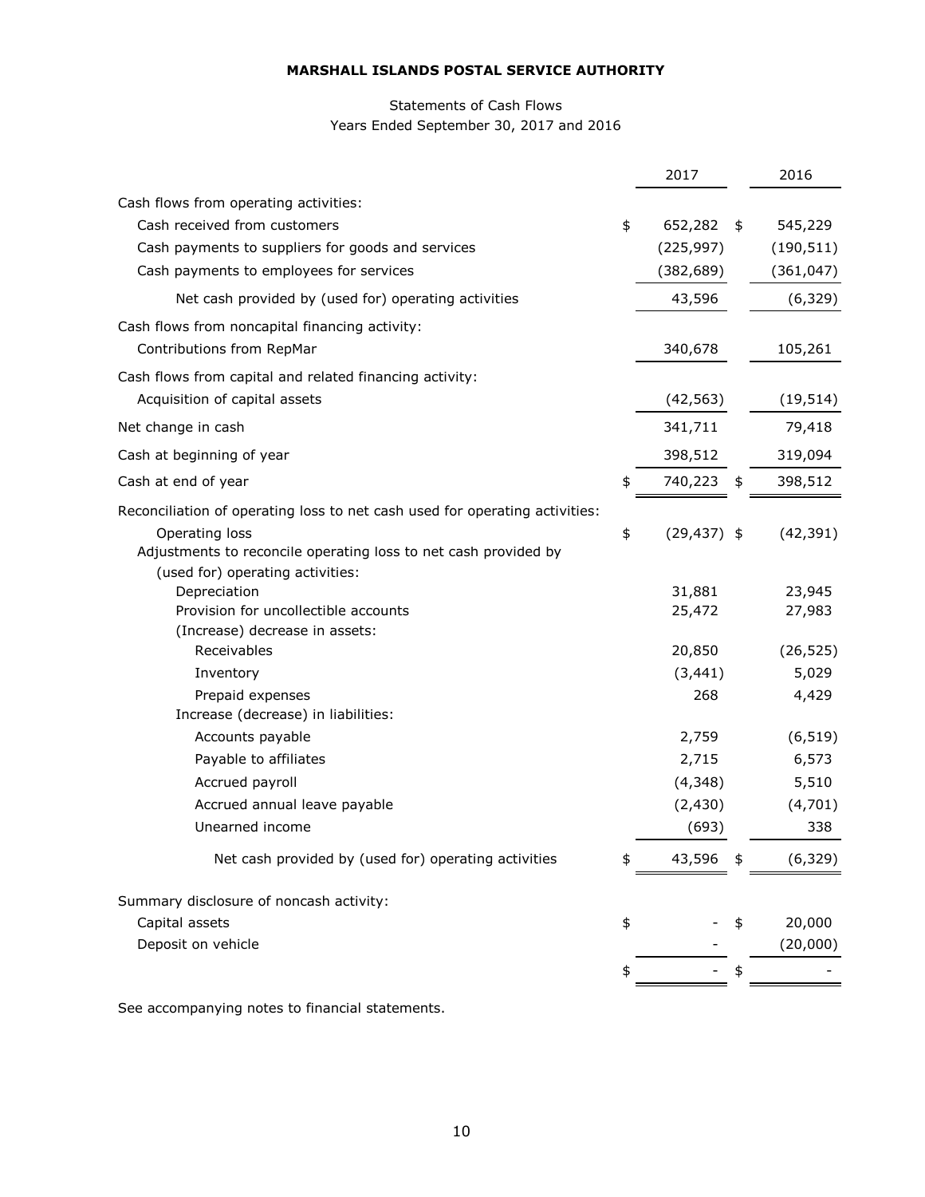# Statements of Cash Flows Years Ended September 30, 2017 and 2016

|                                                                             | 2017                 | 2016           |
|-----------------------------------------------------------------------------|----------------------|----------------|
| Cash flows from operating activities:                                       |                      |                |
| Cash received from customers                                                | \$<br>652,282        | \$<br>545,229  |
| Cash payments to suppliers for goods and services                           | (225, 997)           | (190, 511)     |
| Cash payments to employees for services                                     | (382, 689)           | (361, 047)     |
| Net cash provided by (used for) operating activities                        | 43,596               | (6, 329)       |
| Cash flows from noncapital financing activity:                              |                      |                |
| Contributions from RepMar                                                   | 340,678              | 105,261        |
| Cash flows from capital and related financing activity:                     |                      |                |
| Acquisition of capital assets                                               | (42, 563)            | (19, 514)      |
| Net change in cash                                                          | 341,711              | 79,418         |
| Cash at beginning of year                                                   | 398,512              | 319,094        |
| Cash at end of year                                                         | \$<br>740,223        | \$<br>398,512  |
| Reconciliation of operating loss to net cash used for operating activities: |                      |                |
| Operating loss                                                              | \$<br>$(29, 437)$ \$ | (42, 391)      |
| Adjustments to reconcile operating loss to net cash provided by             |                      |                |
| (used for) operating activities:                                            |                      |                |
| Depreciation                                                                | 31,881               | 23,945         |
| Provision for uncollectible accounts                                        | 25,472               | 27,983         |
| (Increase) decrease in assets:<br>Receivables                               | 20,850               |                |
|                                                                             |                      | (26, 525)      |
| Inventory                                                                   | (3, 441)             | 5,029          |
| Prepaid expenses                                                            | 268                  | 4,429          |
| Increase (decrease) in liabilities:                                         |                      |                |
| Accounts payable                                                            | 2,759                | (6, 519)       |
| Payable to affiliates                                                       | 2,715                | 6,573          |
| Accrued payroll                                                             | (4,348)              | 5,510          |
| Accrued annual leave payable                                                | (2, 430)             | (4,701)        |
| Unearned income                                                             | (693)                | 338            |
| Net cash provided by (used for) operating activities                        | \$<br>43,596         | \$<br>(6, 329) |
| Summary disclosure of noncash activity:                                     |                      |                |
| Capital assets                                                              | \$                   | \$<br>20,000   |
| Deposit on vehicle                                                          |                      | (20,000)       |
|                                                                             | \$                   | \$             |
|                                                                             |                      |                |

See accompanying notes to financial statements.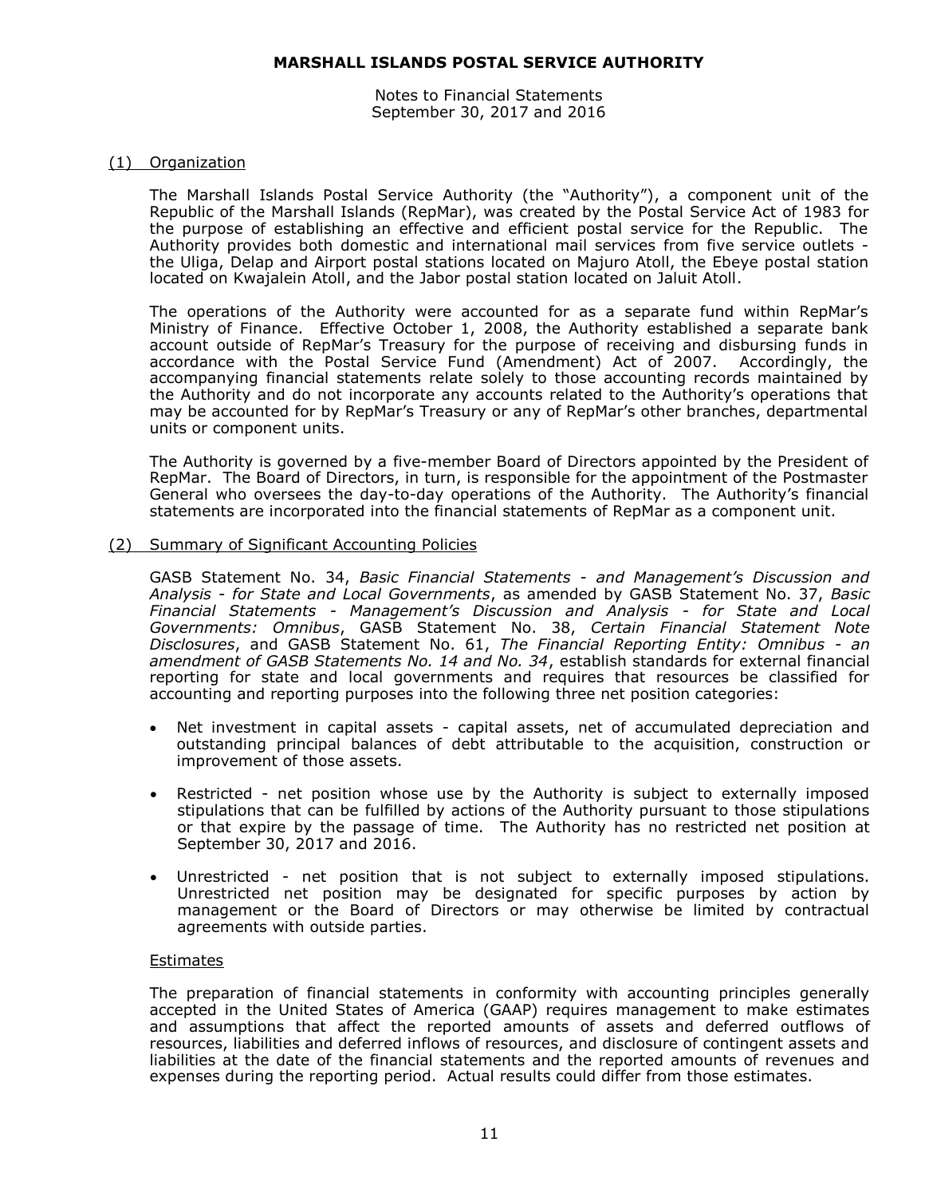Notes to Financial Statements September 30, 2017 and 2016

# (1) Organization

The Marshall Islands Postal Service Authority (the "Authority"), a component unit of the Republic of the Marshall Islands (RepMar), was created by the Postal Service Act of 1983 for the purpose of establishing an effective and efficient postal service for the Republic. The Authority provides both domestic and international mail services from five service outlets the Uliga, Delap and Airport postal stations located on Majuro Atoll, the Ebeye postal station located on Kwajalein Atoll, and the Jabor postal station located on Jaluit Atoll.

The operations of the Authority were accounted for as a separate fund within RepMar's Ministry of Finance. Effective October 1, 2008, the Authority established a separate bank account outside of RepMar's Treasury for the purpose of receiving and disbursing funds in accordance with the Postal Service Fund (Amendment) Act of 2007. Accordingly, the accompanying financial statements relate solely to those accounting records maintained by the Authority and do not incorporate any accounts related to the Authority's operations that may be accounted for by RepMar's Treasury or any of RepMar's other branches, departmental units or component units.

The Authority is governed by a five-member Board of Directors appointed by the President of RepMar. The Board of Directors, in turn, is responsible for the appointment of the Postmaster General who oversees the day-to-day operations of the Authority. The Authority's financial statements are incorporated into the financial statements of RepMar as a component unit.

# (2) Summary of Significant Accounting Policies

GASB Statement No. 34, *Basic Financial Statements - and Management's Discussion and Analysis - for State and Local Governments*, as amended by GASB Statement No. 37, *Basic Financial Statements - Management's Discussion and Analysis - for State and Local Governments: Omnibus*, GASB Statement No. 38, *Certain Financial Statement Note Disclosures*, and GASB Statement No. 61, *The Financial Reporting Entity: Omnibus - an amendment of GASB Statements No. 14 and No. 34*, establish standards for external financial reporting for state and local governments and requires that resources be classified for accounting and reporting purposes into the following three net position categories:

- Net investment in capital assets capital assets, net of accumulated depreciation and outstanding principal balances of debt attributable to the acquisition, construction or improvement of those assets.
- Restricted net position whose use by the Authority is subject to externally imposed stipulations that can be fulfilled by actions of the Authority pursuant to those stipulations or that expire by the passage of time. The Authority has no restricted net position at September 30, 2017 and 2016.
- Unrestricted net position that is not subject to externally imposed stipulations. Unrestricted net position may be designated for specific purposes by action by management or the Board of Directors or may otherwise be limited by contractual agreements with outside parties.

# Estimates

The preparation of financial statements in conformity with accounting principles generally accepted in the United States of America (GAAP) requires management to make estimates and assumptions that affect the reported amounts of assets and deferred outflows of resources, liabilities and deferred inflows of resources, and disclosure of contingent assets and liabilities at the date of the financial statements and the reported amounts of revenues and expenses during the reporting period. Actual results could differ from those estimates.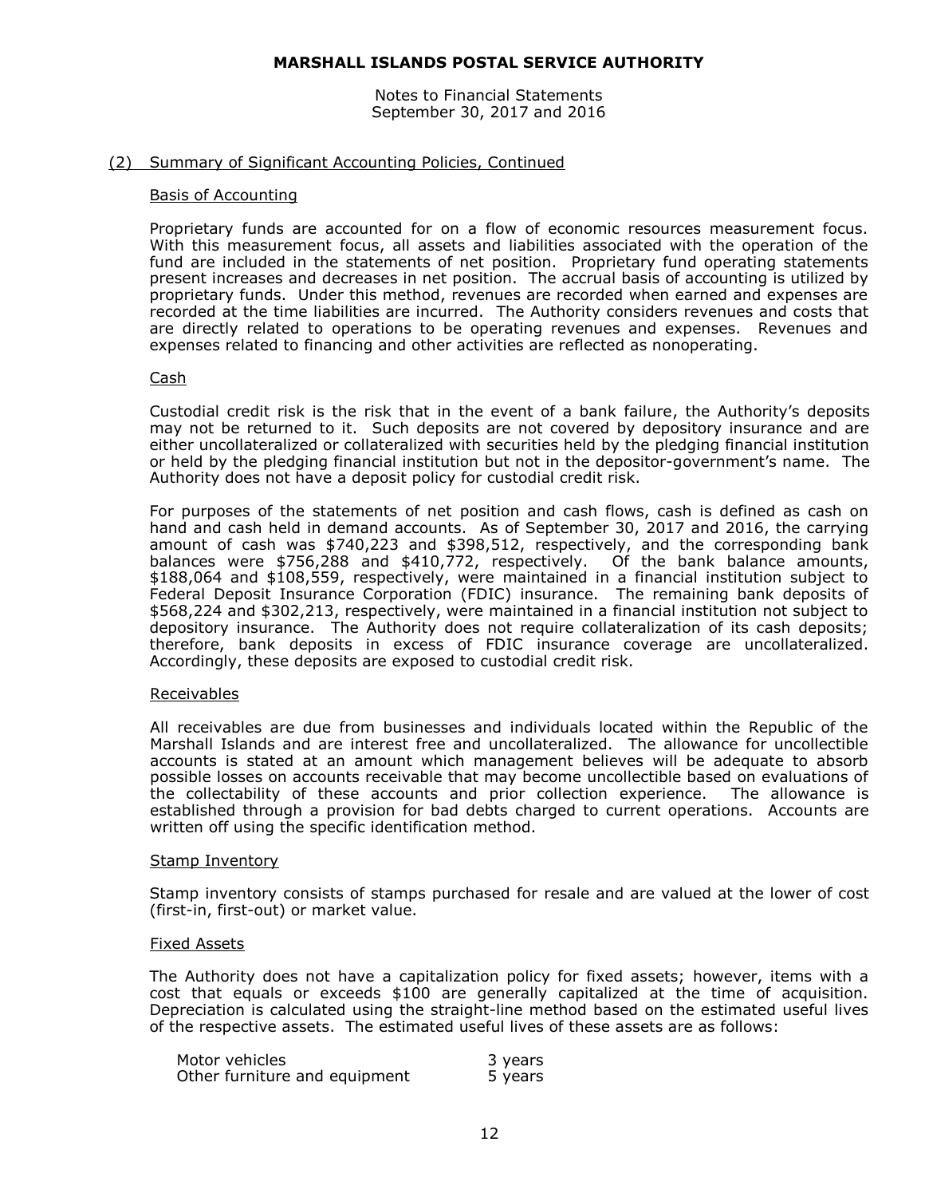Notes to Financial Statements September 30, 2017 and 2016

# (2) Summary of Significant Accounting Policies, Continued

#### Basis of Accounting

Proprietary funds are accounted for on a flow of economic resources measurement focus. With this measurement focus, all assets and liabilities associated with the operation of the fund are included in the statements of net position. Proprietary fund operating statements present increases and decreases in net position. The accrual basis of accounting is utilized by proprietary funds. Under this method, revenues are recorded when earned and expenses are recorded at the time liabilities are incurred. The Authority considers revenues and costs that are directly related to operations to be operating revenues and expenses. Revenues and expenses related to financing and other activities are reflected as nonoperating.

#### Cash

Custodial credit risk is the risk that in the event of a bank failure, the Authority's deposits may not be returned to it. Such deposits are not covered by depository insurance and are either uncollateralized or collateralized with securities held by the pledging financial institution or held by the pledging financial institution but not in the depositor-government's name. The Authority does not have a deposit policy for custodial credit risk.

For purposes of the statements of net position and cash flows, cash is defined as cash on hand and cash held in demand accounts. As of September 30, 2017 and 2016, the carrying amount of cash was \$740,223 and \$398,512, respectively, and the corresponding bank balances were \$756,288 and \$410,772, respectively. Of the bank balance amounts, \$188,064 and \$108,559, respectively, were maintained in a financial institution subject to Federal Deposit Insurance Corporation (FDIC) insurance. The remaining bank deposits of \$568,224 and \$302,213, respectively, were maintained in a financial institution not subject to depository insurance. The Authority does not require collateralization of its cash deposits; therefore, bank deposits in excess of FDIC insurance coverage are uncollateralized. Accordingly, these deposits are exposed to custodial credit risk.

# Receivables

All receivables are due from businesses and individuals located within the Republic of the Marshall Islands and are interest free and uncollateralized. The allowance for uncollectible accounts is stated at an amount which management believes will be adequate to absorb possible losses on accounts receivable that may become uncollectible based on evaluations of the collectability of these accounts and prior collection experience. The allowance is established through a provision for bad debts charged to current operations. Accounts are written off using the specific identification method.

#### Stamp Inventory

Stamp inventory consists of stamps purchased for resale and are valued at the lower of cost (first-in, first-out) or market value.

#### Fixed Assets

The Authority does not have a capitalization policy for fixed assets; however, items with a cost that equals or exceeds \$100 are generally capitalized at the time of acquisition. Depreciation is calculated using the straight-line method based on the estimated useful lives of the respective assets. The estimated useful lives of these assets are as follows:

| Motor vehicles                | 3 years |
|-------------------------------|---------|
| Other furniture and equipment | 5 years |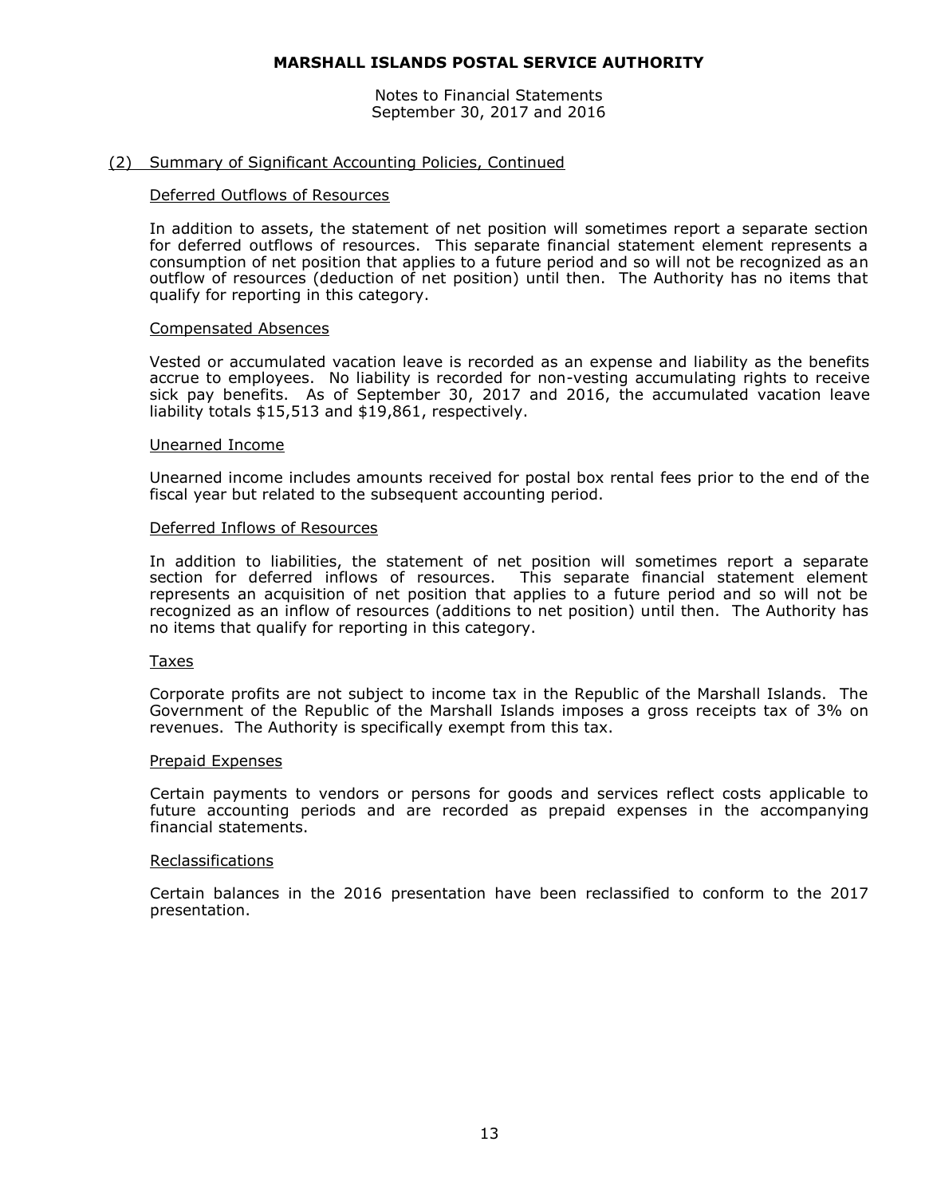Notes to Financial Statements September 30, 2017 and 2016

# (2) Summary of Significant Accounting Policies, Continued

#### Deferred Outflows of Resources

In addition to assets, the statement of net position will sometimes report a separate section for deferred outflows of resources. This separate financial statement element represents a consumption of net position that applies to a future period and so will not be recognized as an outflow of resources (deduction of net position) until then. The Authority has no items that qualify for reporting in this category.

#### Compensated Absences

Vested or accumulated vacation leave is recorded as an expense and liability as the benefits accrue to employees. No liability is recorded for non-vesting accumulating rights to receive sick pay benefits. As of September 30, 2017 and 2016, the accumulated vacation leave liability totals \$15,513 and \$19,861, respectively.

#### Unearned Income

Unearned income includes amounts received for postal box rental fees prior to the end of the fiscal year but related to the subsequent accounting period.

#### Deferred Inflows of Resources

In addition to liabilities, the statement of net position will sometimes report a separate section for deferred inflows of resources. This separate financial statement element represents an acquisition of net position that applies to a future period and so will not be recognized as an inflow of resources (additions to net position) until then. The Authority has no items that qualify for reporting in this category.

# Taxes

Corporate profits are not subject to income tax in the Republic of the Marshall Islands. The Government of the Republic of the Marshall Islands imposes a gross receipts tax of 3% on revenues. The Authority is specifically exempt from this tax.

#### Prepaid Expenses

Certain payments to vendors or persons for goods and services reflect costs applicable to future accounting periods and are recorded as prepaid expenses in the accompanying financial statements.

#### Reclassifications

Certain balances in the 2016 presentation have been reclassified to conform to the 2017 presentation.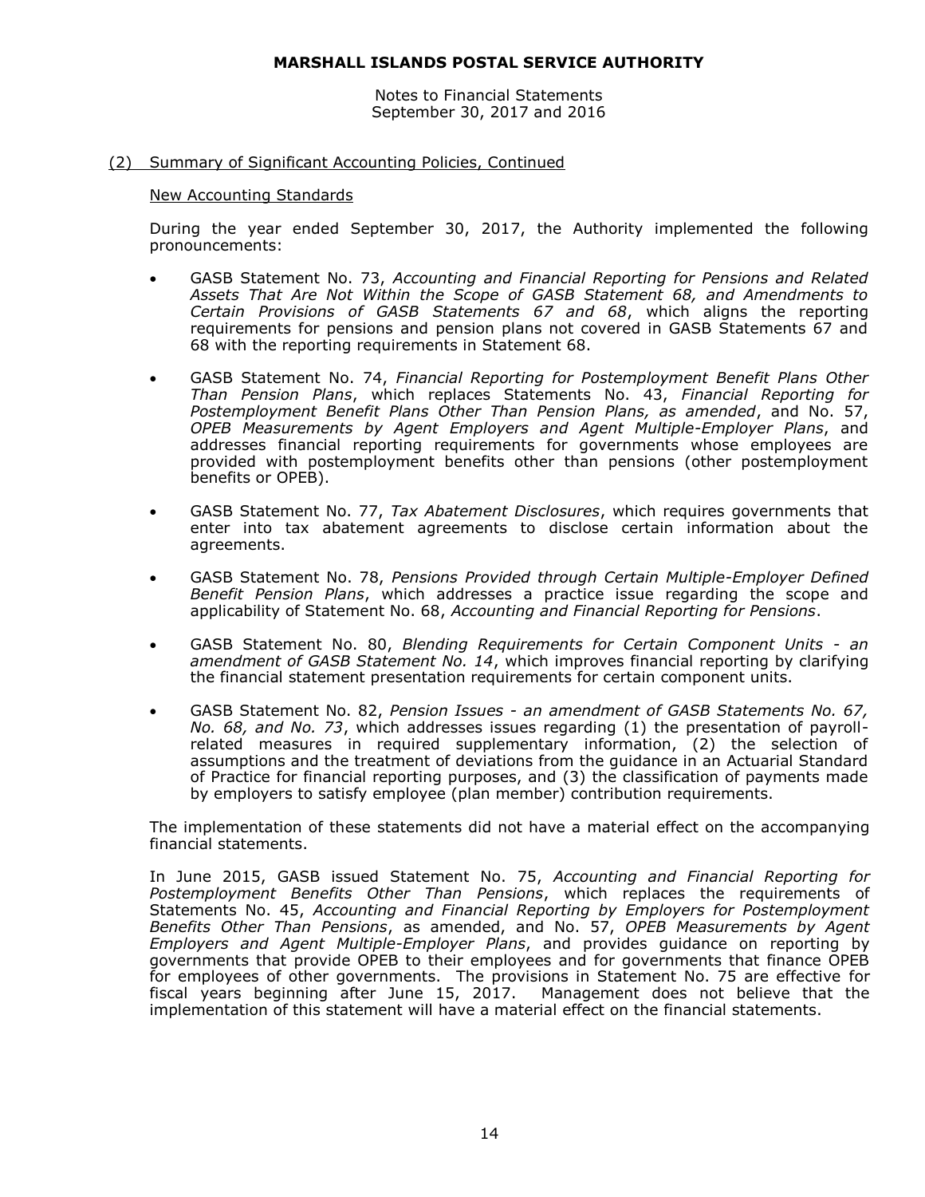Notes to Financial Statements September 30, 2017 and 2016

# (2) Summary of Significant Accounting Policies, Continued

#### New Accounting Standards

During the year ended September 30, 2017, the Authority implemented the following pronouncements:

- GASB Statement No. 73, *Accounting and Financial Reporting for Pensions and Related Assets That Are Not Within the Scope of GASB Statement 68, and Amendments to Certain Provisions of GASB Statements 67 and 68*, which aligns the reporting requirements for pensions and pension plans not covered in GASB Statements 67 and 68 with the reporting requirements in Statement 68.
- GASB Statement No. 74, *Financial Reporting for Postemployment Benefit Plans Other Than Pension Plans*, which replaces Statements No. 43, *Financial Reporting for Postemployment Benefit Plans Other Than Pension Plans, as amended*, and No. 57, *OPEB Measurements by Agent Employers and Agent Multiple-Employer Plans*, and addresses financial reporting requirements for governments whose employees are provided with postemployment benefits other than pensions (other postemployment benefits or OPEB).
- GASB Statement No. 77, *Tax Abatement Disclosures*, which requires governments that enter into tax abatement agreements to disclose certain information about the agreements.
- GASB Statement No. 78, *Pensions Provided through Certain Multiple-Employer Defined Benefit Pension Plans*, which addresses a practice issue regarding the scope and applicability of Statement No. 68, *Accounting and Financial Reporting for Pensions*.
- GASB Statement No. 80, *Blending Requirements for Certain Component Units - an amendment of GASB Statement No. 14*, which improves financial reporting by clarifying the financial statement presentation requirements for certain component units.
- GASB Statement No. 82, *Pension Issues - an amendment of GASB Statements No. 67, No. 68, and No. 73*, which addresses issues regarding (1) the presentation of payrollrelated measures in required supplementary information, (2) the selection of assumptions and the treatment of deviations from the guidance in an Actuarial Standard of Practice for financial reporting purposes, and (3) the classification of payments made by employers to satisfy employee (plan member) contribution requirements.

The implementation of these statements did not have a material effect on the accompanying financial statements.

In June 2015, GASB issued Statement No. 75, *Accounting and Financial Reporting for Postemployment Benefits Other Than Pensions*, which replaces the requirements of Statements No. 45, *Accounting and Financial Reporting by Employers for Postemployment Benefits Other Than Pensions*, as amended, and No. 57, *OPEB Measurements by Agent Employers and Agent Multiple-Employer Plans*, and provides guidance on reporting by governments that provide OPEB to their employees and for governments that finance OPEB for employees of other governments. The provisions in Statement No. 75 are effective for fiscal years beginning after June 15, 2017. Management does not believe that the implementation of this statement will have a material effect on the financial statements.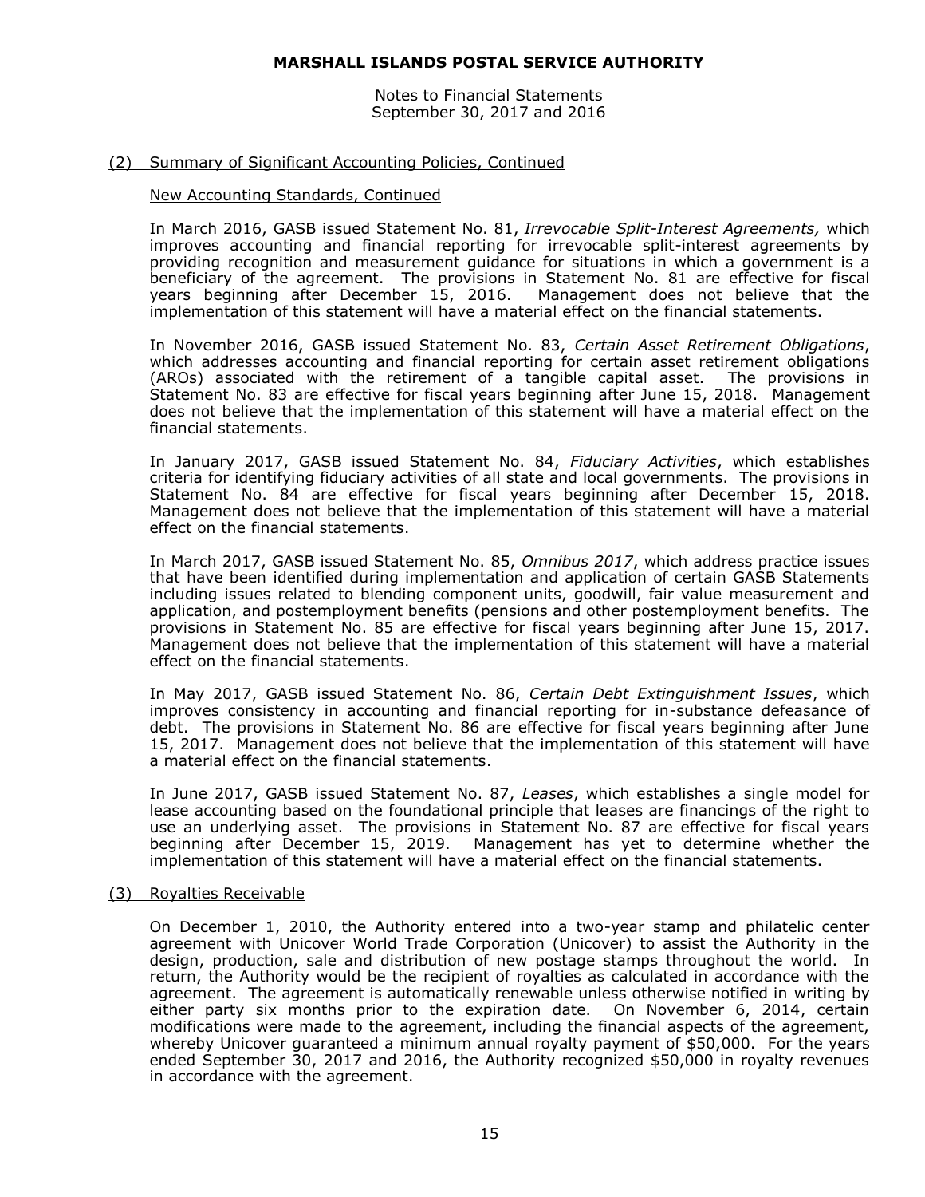Notes to Financial Statements September 30, 2017 and 2016

# (2) Summary of Significant Accounting Policies, Continued

# New Accounting Standards, Continued

In March 2016, GASB issued Statement No. 81, *Irrevocable Split-Interest Agreements,* which improves accounting and financial reporting for irrevocable split-interest agreements by providing recognition and measurement guidance for situations in which a government is a beneficiary of the agreement. The provisions in Statement No. 81 are effective for fiscal years beginning after December 15, 2016. Management does not believe that the implementation of this statement will have a material effect on the financial statements.

In November 2016, GASB issued Statement No. 83, *Certain Asset Retirement Obligations*, which addresses accounting and financial reporting for certain asset retirement obligations (AROs) associated with the retirement of a tangible capital asset. The provisions in Statement No. 83 are effective for fiscal years beginning after June 15, 2018. Management does not believe that the implementation of this statement will have a material effect on the financial statements.

In January 2017, GASB issued Statement No. 84, *Fiduciary Activities*, which establishes criteria for identifying fiduciary activities of all state and local governments. The provisions in Statement No. 84 are effective for fiscal years beginning after December 15, 2018. Management does not believe that the implementation of this statement will have a material effect on the financial statements.

In March 2017, GASB issued Statement No. 85, *Omnibus 2017*, which address practice issues that have been identified during implementation and application of certain GASB Statements including issues related to blending component units, goodwill, fair value measurement and application, and postemployment benefits (pensions and other postemployment benefits. The provisions in Statement No. 85 are effective for fiscal years beginning after June 15, 2017. Management does not believe that the implementation of this statement will have a material effect on the financial statements.

In May 2017, GASB issued Statement No. 86, *Certain Debt Extinguishment Issues*, which improves consistency in accounting and financial reporting for in-substance defeasance of debt. The provisions in Statement No. 86 are effective for fiscal years beginning after June 15, 2017. Management does not believe that the implementation of this statement will have a material effect on the financial statements.

In June 2017, GASB issued Statement No. 87, *Leases*, which establishes a single model for lease accounting based on the foundational principle that leases are financings of the right to use an underlying asset. The provisions in Statement No. 87 are effective for fiscal years beginning after December 15, 2019. Management has yet to determine whether the implementation of this statement will have a material effect on the financial statements.

# (3) Royalties Receivable

On December 1, 2010, the Authority entered into a two-year stamp and philatelic center agreement with Unicover World Trade Corporation (Unicover) to assist the Authority in the design, production, sale and distribution of new postage stamps throughout the world. In return, the Authority would be the recipient of royalties as calculated in accordance with the agreement. The agreement is automatically renewable unless otherwise notified in writing by either party six months prior to the expiration date. On November 6, 2014, certain either party six months prior to the expiration date. modifications were made to the agreement, including the financial aspects of the agreement, whereby Unicover guaranteed a minimum annual royalty payment of \$50,000. For the years ended September 30, 2017 and 2016, the Authority recognized \$50,000 in royalty revenues in accordance with the agreement.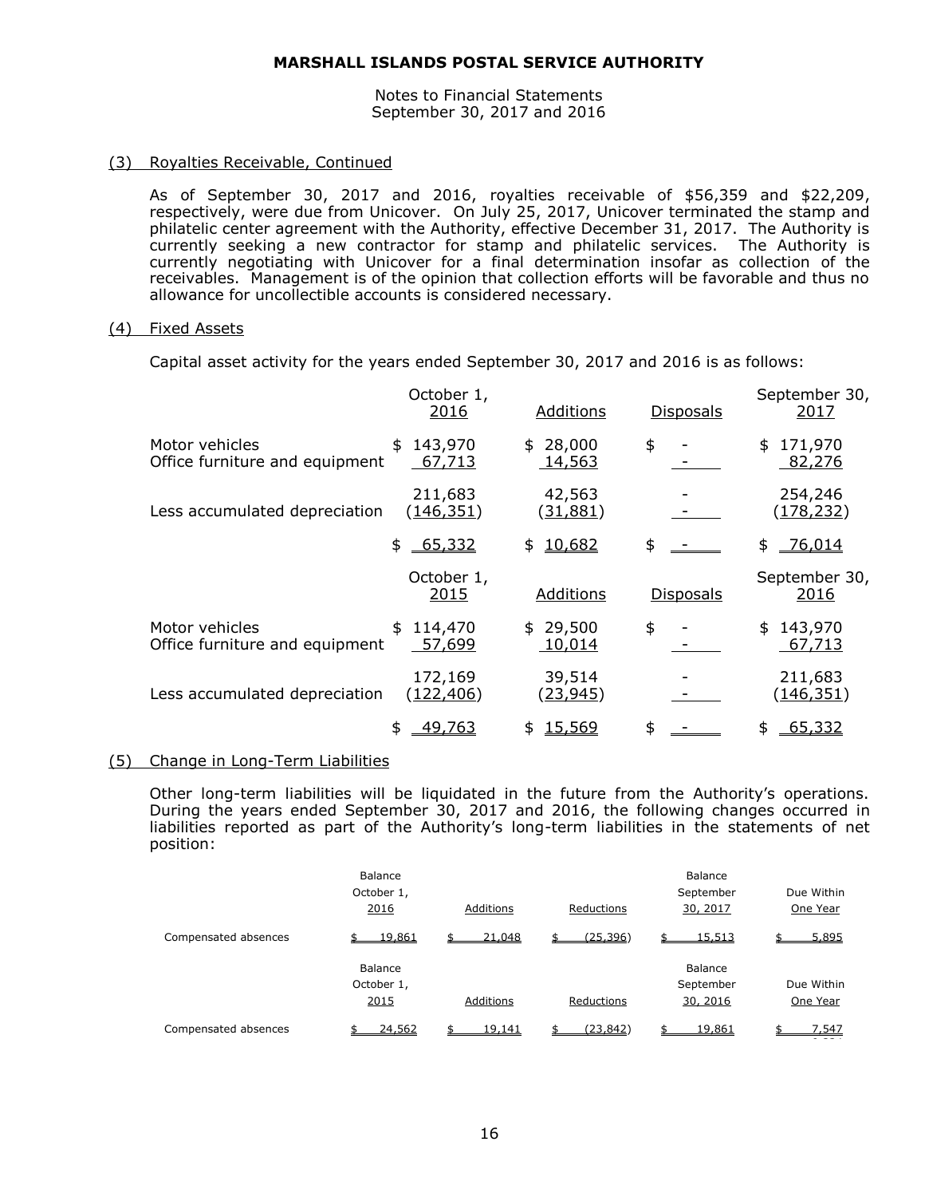#### Notes to Financial Statements September 30, 2017 and 2016

# (3) Royalties Receivable, Continued

As of September 30, 2017 and 2016, royalties receivable of \$56,359 and \$22,209, respectively, were due from Unicover. On July 25, 2017, Unicover terminated the stamp and philatelic center agreement with the Authority, effective December 31, 2017. The Authority is currently seeking a new contractor for stamp and philatelic services. The Authority is currently negotiating with Unicover for a final determination insofar as collection of the receivables. Management is of the opinion that collection efforts will be favorable and thus no allowance for uncollectible accounts is considered necessary.

# (4) Fixed Assets

Capital asset activity for the years ended September 30, 2017 and 2016 is as follows:

|                                                  | October 1,<br>2016          | <b>Additions</b>          | <b>Disposals</b> | September 30,<br>2017         |
|--------------------------------------------------|-----------------------------|---------------------------|------------------|-------------------------------|
| Motor vehicles<br>Office furniture and equipment | 143,970<br>\$<br>67,713     | 28,000<br>\$<br>14,563    | \$               | 171,970<br>\$<br>82,276       |
| Less accumulated depreciation                    | 211,683<br>(146, 351)       | 42,563<br><u>(31,881)</u> |                  | 254,246<br>(178, 232)         |
|                                                  | 65,332<br>\$                | 10,682<br>\$              | \$               | 76,014                        |
|                                                  | October 1,<br>2015          | <b>Additions</b>          | <b>Disposals</b> | September 30,<br>2016         |
| Motor vehicles<br>Office furniture and equipment | 114,470<br>\$<br>57,699     | 29,500<br>\$<br>10,014    | \$               | 143,970<br>\$<br>67,713       |
| Less accumulated depreciation                    | 172,169<br><u>(122,406)</u> | 39,514<br><u>(23,945)</u> |                  | 211,683<br>( <u>146,351</u> ) |
|                                                  |                             |                           |                  |                               |

# (5) Change in Long-Term Liabilities

Other long-term liabilities will be liquidated in the future from the Authority's operations. During the years ended September 30, 2017 and 2016, the following changes occurred in liabilities reported as part of the Authority's long-term liabilities in the statements of net position:

|                      | Balance<br>October 1,<br>2016 | Additions | Reductions | Balance<br>September<br>30, 2017 | Due Within<br>One Year |
|----------------------|-------------------------------|-----------|------------|----------------------------------|------------------------|
| Compensated absences | 19,861                        | 21,048    | (25, 396)  | 15,513                           | 5,895                  |
|                      | Balance<br>October 1,<br>2015 | Additions | Reductions | Balance<br>September<br>30, 2016 | Due Within<br>One Year |
| Compensated absences | 24,562                        | 19,141    | (23, 842)  | 19,861                           | 7,547                  |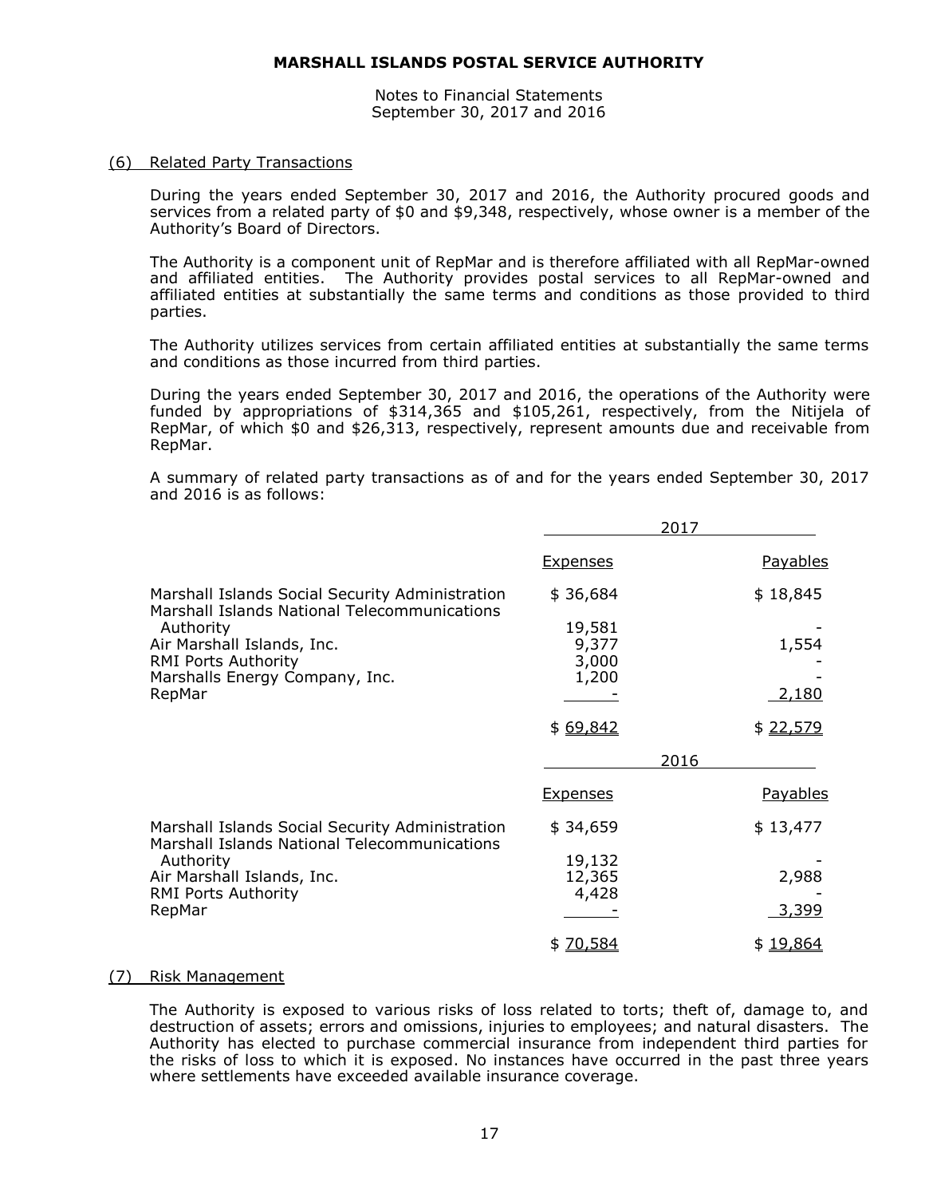Notes to Financial Statements September 30, 2017 and 2016

# (6) Related Party Transactions

During the years ended September 30, 2017 and 2016, the Authority procured goods and services from a related party of \$0 and \$9,348, respectively, whose owner is a member of the Authority's Board of Directors.

The Authority is a component unit of RepMar and is therefore affiliated with all RepMar-owned and affiliated entities. The Authority provides postal services to all RepMar-owned and affiliated entities at substantially the same terms and conditions as those provided to third parties.

The Authority utilizes services from certain affiliated entities at substantially the same terms and conditions as those incurred from third parties.

During the years ended September 30, 2017 and 2016, the operations of the Authority were funded by appropriations of \$314,365 and \$105,261, respectively, from the Nitijela of RepMar, of which \$0 and \$26,313, respectively, represent amounts due and receivable from RepMar.

A summary of related party transactions as of and for the years ended September 30, 2017 and 2016 is as follows:

|                                                                                                                   |                                   | 2017 |                       |
|-------------------------------------------------------------------------------------------------------------------|-----------------------------------|------|-----------------------|
|                                                                                                                   | <b>Expenses</b>                   |      | <b>Payables</b>       |
| Marshall Islands Social Security Administration<br>Marshall Islands National Telecommunications                   | \$36,684                          |      | \$18,845              |
| Authority<br>Air Marshall Islands, Inc.<br><b>RMI Ports Authority</b><br>Marshalls Energy Company, Inc.<br>RepMar | 19,581<br>9,377<br>3,000<br>1,200 |      | 1,554<br>2,180        |
|                                                                                                                   | \$69,842                          |      | \$22,579              |
|                                                                                                                   |                                   | 2016 |                       |
|                                                                                                                   | <b>Expenses</b>                   |      | <b>Payables</b>       |
| Marshall Islands Social Security Administration<br>Marshall Islands National Telecommunications                   | \$34,659                          |      | \$13,477              |
| Authority<br>Air Marshall Islands, Inc.<br><b>RMI Ports Authority</b><br>RepMar                                   | 19,132<br>12,365<br>4,428         |      | 2,988<br><u>3,399</u> |
|                                                                                                                   | \$70,584                          |      | \$19,864              |

# (7) Risk Management

The Authority is exposed to various risks of loss related to torts; theft of, damage to, and destruction of assets; errors and omissions, injuries to employees; and natural disasters. The Authority has elected to purchase commercial insurance from independent third parties for the risks of loss to which it is exposed. No instances have occurred in the past three years where settlements have exceeded available insurance coverage.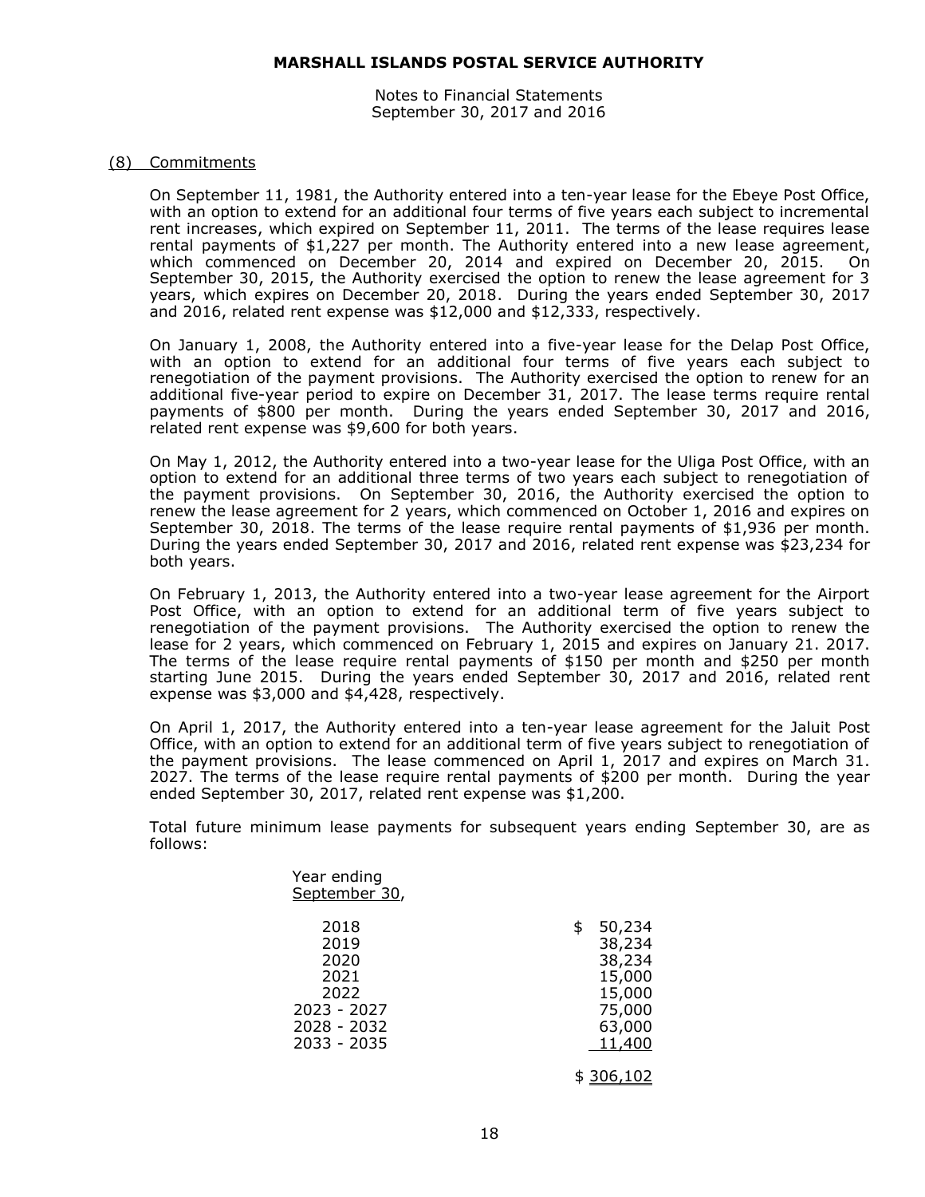Notes to Financial Statements September 30, 2017 and 2016

#### (8) Commitments

On September 11, 1981, the Authority entered into a ten-year lease for the Ebeye Post Office, with an option to extend for an additional four terms of five years each subject to incremental rent increases, which expired on September 11, 2011. The terms of the lease requires lease rental payments of \$1,227 per month. The Authority entered into a new lease agreement, which commenced on December 20, 2014 and expired on December 20, 2015. On September 30, 2015, the Authority exercised the option to renew the lease agreement for 3 years, which expires on December 20, 2018. During the years ended September 30, 2017 and 2016, related rent expense was \$12,000 and \$12,333, respectively.

On January 1, 2008, the Authority entered into a five-year lease for the Delap Post Office, with an option to extend for an additional four terms of five years each subject to renegotiation of the payment provisions. The Authority exercised the option to renew for an additional five-year period to expire on December 31, 2017. The lease terms require rental payments of \$800 per month. During the years ended September 30, 2017 and 2016, related rent expense was \$9,600 for both years.

On May 1, 2012, the Authority entered into a two-year lease for the Uliga Post Office, with an option to extend for an additional three terms of two years each subject to renegotiation of the payment provisions. On September 30, 2016, the Authority exercised the option to renew the lease agreement for 2 years, which commenced on October 1, 2016 and expires on September 30, 2018. The terms of the lease require rental payments of \$1,936 per month. During the years ended September 30, 2017 and 2016, related rent expense was \$23,234 for both years.

On February 1, 2013, the Authority entered into a two-year lease agreement for the Airport Post Office, with an option to extend for an additional term of five years subject to renegotiation of the payment provisions. The Authority exercised the option to renew the lease for 2 years, which commenced on February 1, 2015 and expires on January 21. 2017. The terms of the lease require rental payments of \$150 per month and \$250 per month starting June 2015. During the years ended September 30, 2017 and 2016, related rent expense was \$3,000 and \$4,428, respectively.

On April 1, 2017, the Authority entered into a ten-year lease agreement for the Jaluit Post Office, with an option to extend for an additional term of five years subject to renegotiation of the payment provisions. The lease commenced on April 1, 2017 and expires on March 31. 2027. The terms of the lease require rental payments of \$200 per month. During the year ended September 30, 2017, related rent expense was \$1,200.

Total future minimum lease payments for subsequent years ending September 30, are as follows:

| Year ending<br>September 30,                                                      |                                                                                    |
|-----------------------------------------------------------------------------------|------------------------------------------------------------------------------------|
| 2018<br>2019<br>2020<br>2021<br>2022<br>2023 - 2027<br>2028 - 2032<br>2033 - 2035 | \$<br>50,234<br>38,234<br>38,234<br>15,000<br>15,000<br>75,000<br>63,000<br>11,400 |
|                                                                                   |                                                                                    |

\$ 306,102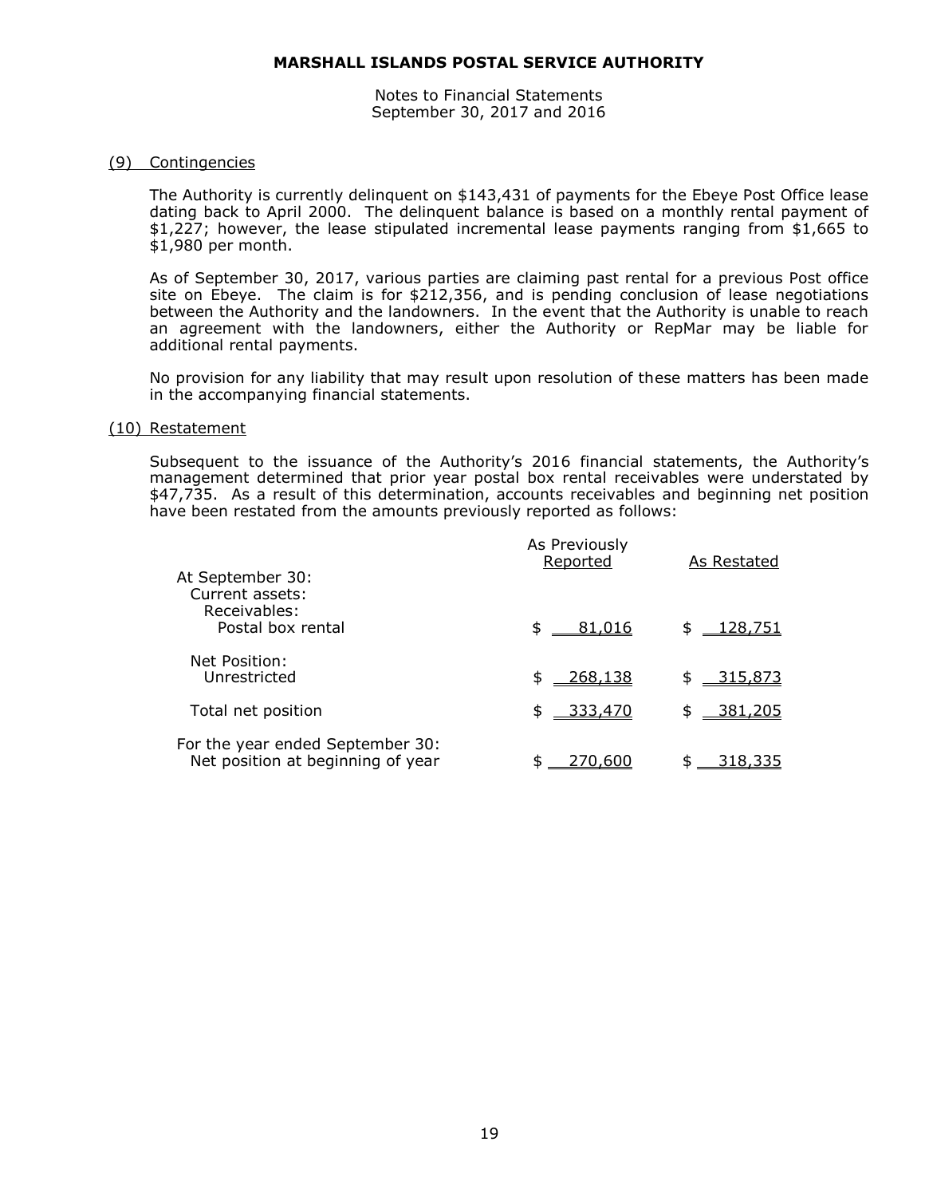Notes to Financial Statements September 30, 2017 and 2016

#### (9) Contingencies

The Authority is currently delinquent on \$143,431 of payments for the Ebeye Post Office lease dating back to April 2000. The delinquent balance is based on a monthly rental payment of \$1,227; however, the lease stipulated incremental lease payments ranging from \$1,665 to \$1,980 per month.

As of September 30, 2017, various parties are claiming past rental for a previous Post office site on Ebeye. The claim is for \$212,356, and is pending conclusion of lease negotiations between the Authority and the landowners. In the event that the Authority is unable to reach an agreement with the landowners, either the Authority or RepMar may be liable for additional rental payments.

No provision for any liability that may result upon resolution of these matters has been made in the accompanying financial statements.

#### (10) Restatement

Subsequent to the issuance of the Authority's 2016 financial statements, the Authority's management determined that prior year postal box rental receivables were understated by \$47,735. As a result of this determination, accounts receivables and beginning net position have been restated from the amounts previously reported as follows:

| At September 30:                                                      | As Previously<br>Reported | As Restated |  |  |  |
|-----------------------------------------------------------------------|---------------------------|-------------|--|--|--|
| Current assets:<br>Receivables:<br>Postal box rental                  | \$ 81,016                 | \$ 128,751  |  |  |  |
| Net Position:<br>Unrestricted                                         | $-268,138$<br>\$          | \$315,873   |  |  |  |
| Total net position                                                    | \$333,470                 | \$381,205   |  |  |  |
| For the year ended September 30:<br>Net position at beginning of year | 270.600                   | 318.335     |  |  |  |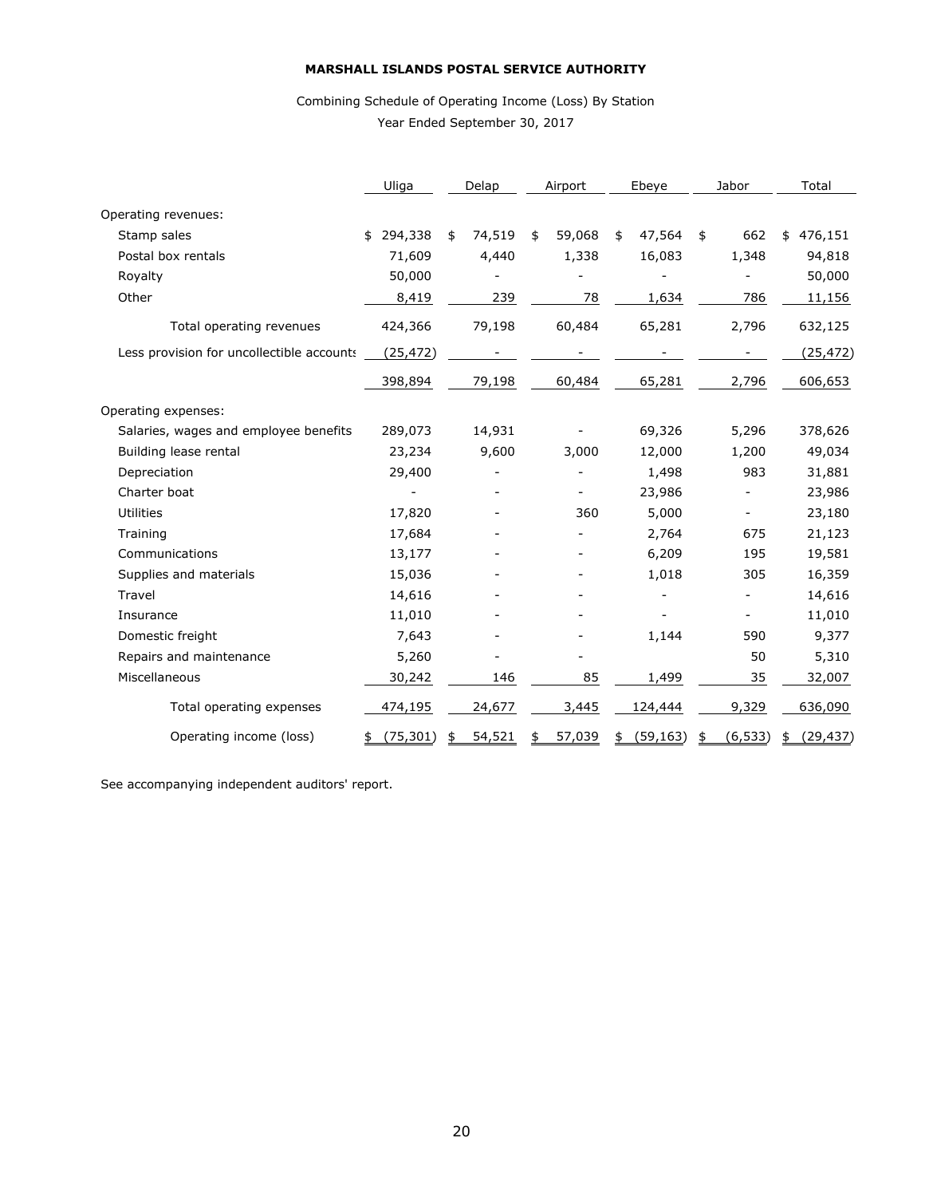# Combining Schedule of Operating Income (Loss) By Station Year Ended September 30, 2017

|                                           | Uliga           | Delap        | Airport      | Ebeye           | Jabor          | Total           |
|-------------------------------------------|-----------------|--------------|--------------|-----------------|----------------|-----------------|
| Operating revenues:                       |                 |              |              |                 |                |                 |
| Stamp sales                               | 294,338<br>\$   | \$<br>74,519 | \$<br>59,068 | \$<br>47,564    | \$<br>662      | \$<br>476,151   |
| Postal box rentals                        | 71,609          | 4,440        | 1,338        | 16,083          | 1,348          | 94,818          |
| Royalty                                   | 50,000          |              |              |                 |                | 50,000          |
| Other                                     | 8,419           | 239          | 78           | 1,634           | 786            | 11,156          |
| Total operating revenues                  | 424,366         | 79,198       | 60,484       | 65,281          | 2,796          | 632,125         |
| Less provision for uncollectible accounts | (25, 472)       |              |              |                 |                | (25, 472)       |
|                                           | 398,894         | 79,198       | 60,484       | 65,281          | 2,796          | 606,653         |
| Operating expenses:                       |                 |              |              |                 |                |                 |
| Salaries, wages and employee benefits     | 289,073         | 14,931       |              | 69,326          | 5,296          | 378,626         |
| Building lease rental                     | 23,234          | 9,600        | 3,000        | 12,000          | 1,200          | 49,034          |
| Depreciation                              | 29,400          |              |              | 1,498           | 983            | 31,881          |
| Charter boat                              |                 |              |              | 23,986          |                | 23,986          |
| <b>Utilities</b>                          | 17,820          |              | 360          | 5,000           |                | 23,180          |
| Training                                  | 17,684          |              |              | 2,764           | 675            | 21,123          |
| Communications                            | 13,177          |              |              | 6,209           | 195            | 19,581          |
| Supplies and materials                    | 15,036          |              |              | 1,018           | 305            | 16,359          |
| Travel                                    | 14,616          |              |              |                 |                | 14,616          |
| Insurance                                 | 11,010          |              |              |                 |                | 11,010          |
| Domestic freight                          | 7,643           |              |              | 1,144           | 590            | 9,377           |
| Repairs and maintenance                   | 5,260           |              |              |                 | 50             | 5,310           |
| Miscellaneous                             | 30,242          | 146          | 85           | 1,499           | 35             | 32,007          |
| Total operating expenses                  | 474,195         | 24,677       | 3,445        | 124,444         | 9,329          | 636,090         |
| Operating income (loss)                   | (75, 301)<br>\$ | \$<br>54,521 | \$<br>57,039 | \$<br>(59, 163) | \$<br>(6, 533) | \$<br>(29, 437) |

See accompanying independent auditors' report.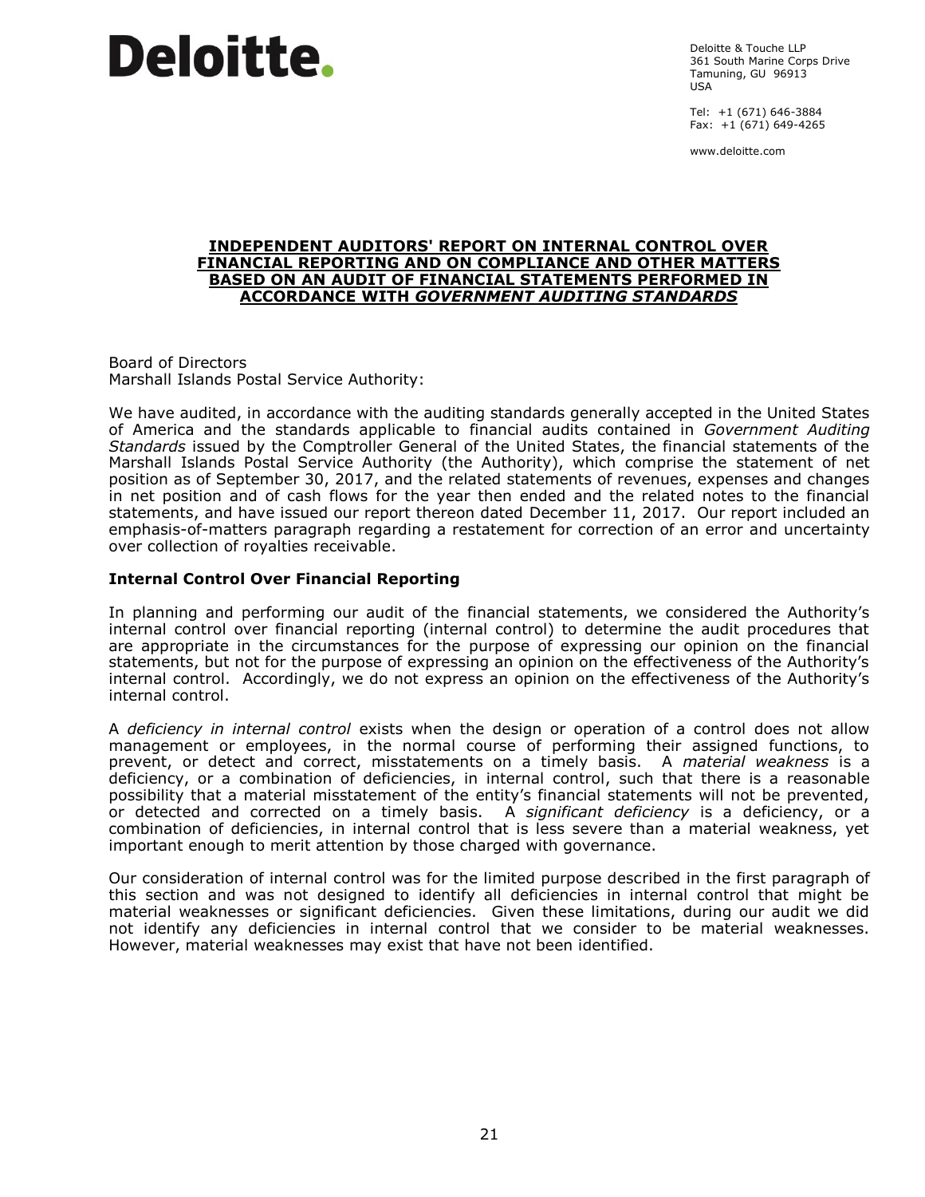# **Deloitte**.

Deloitte & Touche LLP 361 South Marine Corps Drive Tamuning, GU 96913 USA

Tel: +1 (671) 646-3884 Fax: +1 (671) 649-4265

www.deloitte.com

#### **INDEPENDENT AUDITORS' REPORT ON INTERNAL CONTROL OVER FINANCIAL REPORTING AND ON COMPLIANCE AND OTHER MATTERS BASED ON AN AUDIT OF FINANCIAL STATEMENTS PERFORMED IN ACCORDANCE WITH** *GOVERNMENT AUDITING STANDARDS*

Board of Directors Marshall Islands Postal Service Authority:

We have audited, in accordance with the auditing standards generally accepted in the United States of America and the standards applicable to financial audits contained in *Government Auditing Standards* issued by the Comptroller General of the United States, the financial statements of the Marshall Islands Postal Service Authority (the Authority), which comprise the statement of net position as of September 30, 2017, and the related statements of revenues, expenses and changes in net position and of cash flows for the year then ended and the related notes to the financial statements, and have issued our report thereon dated December 11, 2017. Our report included an emphasis-of-matters paragraph regarding a restatement for correction of an error and uncertainty over collection of royalties receivable.

# **Internal Control Over Financial Reporting**

In planning and performing our audit of the financial statements, we considered the Authority's internal control over financial reporting (internal control) to determine the audit procedures that are appropriate in the circumstances for the purpose of expressing our opinion on the financial statements, but not for the purpose of expressing an opinion on the effectiveness of the Authority's internal control. Accordingly, we do not express an opinion on the effectiveness of the Authority's internal control.

A *deficiency in internal control* exists when the design or operation of a control does not allow management or employees, in the normal course of performing their assigned functions, to prevent, or detect and correct, misstatements on a timely basis. A *material weakness* is a deficiency, or a combination of deficiencies, in internal control, such that there is a reasonable possibility that a material misstatement of the entity's financial statements will not be prevented, or detected and corrected on a timely basis. A *significant deficiency* is a deficiency, or a combination of deficiencies, in internal control that is less severe than a material weakness, yet important enough to merit attention by those charged with governance.

Our consideration of internal control was for the limited purpose described in the first paragraph of this section and was not designed to identify all deficiencies in internal control that might be material weaknesses or significant deficiencies. Given these limitations, during our audit we did not identify any deficiencies in internal control that we consider to be material weaknesses. However, material weaknesses may exist that have not been identified.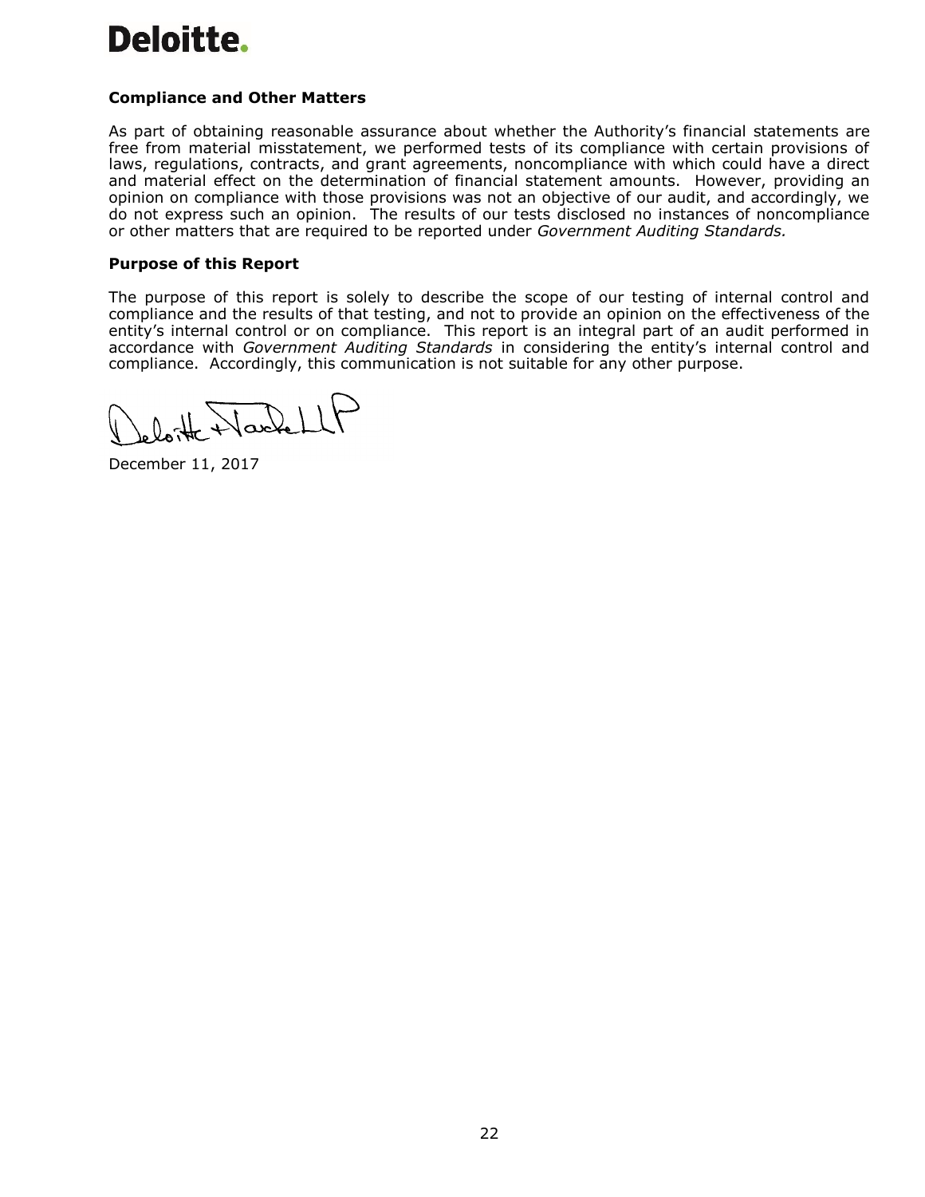# Deloitte.

# **Compliance and Other Matters**

As part of obtaining reasonable assurance about whether the Authority's financial statements are free from material misstatement, we performed tests of its compliance with certain provisions of laws, regulations, contracts, and grant agreements, noncompliance with which could have a direct and material effect on the determination of financial statement amounts. However, providing an opinion on compliance with those provisions was not an objective of our audit, and accordingly, we do not express such an opinion. The results of our tests disclosed no instances of noncompliance or other matters that are required to be reported under *Government Auditing Standards.*

# **Purpose of this Report**

The purpose of this report is solely to describe the scope of our testing of internal control and compliance and the results of that testing, and not to provide an opinion on the effectiveness of the entity's internal control or on compliance. This report is an integral part of an audit performed in accordance with *Government Auditing Standards* in considering the entity's internal control and compliance. Accordingly, this communication is not suitable for any other purpose.

December 11, 2017